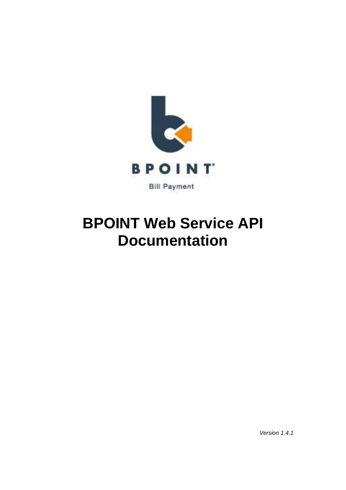

# **BPOINT Web Service API Documentation**

*Version 1.4.1*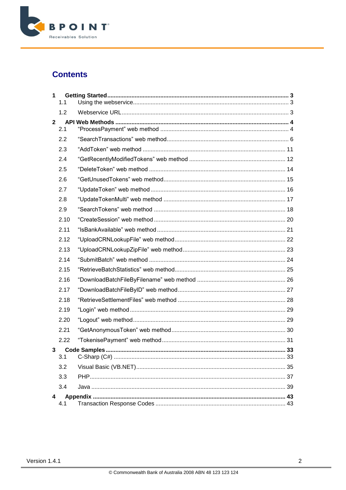

### **Contents**

| $\mathbf 1$    | 1.1  |  |
|----------------|------|--|
|                | 1.2  |  |
| $\overline{2}$ | 2.1  |  |
|                | 2.2  |  |
|                | 2.3  |  |
|                | 2.4  |  |
|                | 2.5  |  |
|                | 2.6  |  |
|                | 2.7  |  |
|                | 2.8  |  |
|                | 2.9  |  |
|                | 2.10 |  |
|                | 2.11 |  |
|                | 2.12 |  |
|                | 2.13 |  |
|                | 2.14 |  |
|                | 2.15 |  |
|                | 2.16 |  |
|                | 2.17 |  |
|                | 2.18 |  |
|                | 2.19 |  |
|                | 2.20 |  |
|                | 2.21 |  |
|                | 2.22 |  |
| 3              | 3.1  |  |
|                | 3.2  |  |
|                | 3.3  |  |
|                | 3.4  |  |
| 4              | 4.1  |  |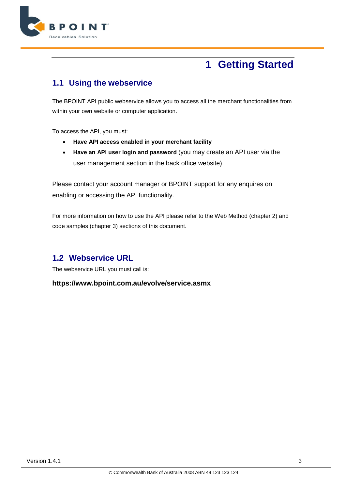

# **1 Getting Started**

### <span id="page-2-1"></span><span id="page-2-0"></span>**1.1 Using the webservice**

The BPOINT API public webservice allows you to access all the merchant functionalities from within your own website or computer application.

To access the API, you must:

- **Have API access enabled in your merchant facility**
- **Have an API user login and password** (you may create an API user via the user management section in the back office website)

Please contact your account manager or BPOINT support for any enquires on enabling or accessing the API functionality.

For more information on how to use the API please refer to the Web Method (chapter 2) and code samples (chapter 3) sections of this document.

### <span id="page-2-2"></span>**1.2 Webservice URL**

The webservice URL you must call is:

**https://www.bpoint.com.au/evolve/service.asmx**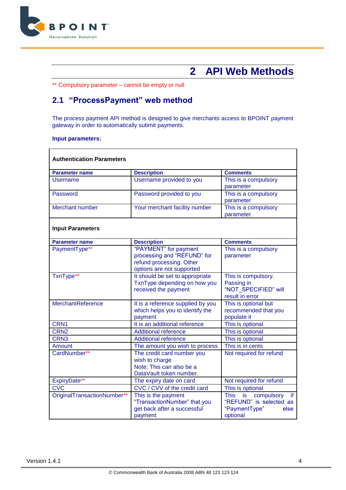

# <span id="page-3-0"></span>**2 API Web Methods**

\*\* Compulsory parameter – cannot be empty or null

# <span id="page-3-1"></span>**2.1 "ProcessPayment" web method**

The process payment API method is designed to give merchants access to BPOINT payment gateway in order to automatically submit payments.

#### **Input parameters:**

| <b>Parameter name</b>       | <b>Description</b>                                                   | <b>Comments</b>                               |
|-----------------------------|----------------------------------------------------------------------|-----------------------------------------------|
| Username                    | Username provided to you                                             | This is a compulsory                          |
|                             |                                                                      | parameter                                     |
| Password                    | Password provided to you                                             | This is a compulsory                          |
|                             |                                                                      | parameter                                     |
| Merchant number             | Your merchant facility number                                        | This is a compulsory                          |
|                             |                                                                      | parameter                                     |
| <b>Input Parameters</b>     |                                                                      |                                               |
| <b>Parameter name</b>       | <b>Description</b>                                                   | <b>Comments</b>                               |
| PaymentType**               | "PAYMENT" for payment                                                | This is a compulsory                          |
|                             | processing and "REFUND" for                                          | parameter                                     |
|                             | refund processing. Other                                             |                                               |
|                             | options are not supported                                            |                                               |
| TxnType**                   | It should be set to appropriate                                      | This is compulsory.                           |
|                             | TxnType depending on how you                                         | Passing in                                    |
|                             | received the payment                                                 | "NOT SPECIFIED" will<br>result in error       |
| MerchantReference           |                                                                      | This is optional but                          |
|                             | It is a reference supplied by you<br>which helps you to identify the | recommended that you                          |
|                             | payment                                                              | populate it                                   |
| CRN1                        | It is an additional reference                                        | This is optional                              |
| CRN <sub>2</sub>            | <b>Additional reference</b>                                          | This is optional                              |
| CRN <sub>3</sub>            | <b>Additional reference</b>                                          | This is optional                              |
| <b>Amount</b>               | The amount you wish to process                                       | This is in cents                              |
| CardNumber**                | The credit card number you                                           | Not required for refund                       |
|                             | wish to charge                                                       |                                               |
|                             | Note: This can also be a                                             |                                               |
|                             | DataVault token number.                                              |                                               |
| ExpiryDate**                | The expiry date on card                                              | Not required for refund                       |
| <b>CVC</b>                  | CVC / CVV of the credit card                                         | This is optional                              |
| OriginalTransactionNumber** | This is the payment                                                  | <b>is</b><br>compulsory<br><b>This</b><br>if. |
|                             | "TransactionNumber" that you                                         | "REFUND" is selected as                       |
|                             | get back after a successful                                          | "PaymentType"<br>else                         |
|                             | payment                                                              | optional                                      |

٦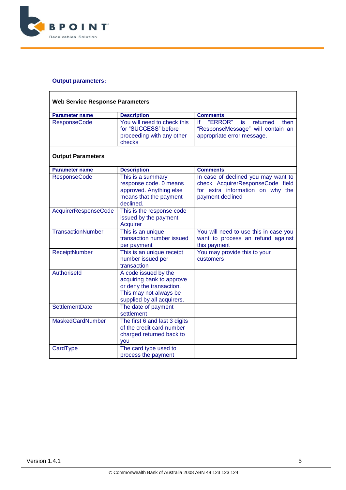

| <b>Web Service Response Parameters</b> |                                                                                                                                       |                                                                                                                                 |  |
|----------------------------------------|---------------------------------------------------------------------------------------------------------------------------------------|---------------------------------------------------------------------------------------------------------------------------------|--|
| <b>Parameter name</b>                  | <b>Description</b>                                                                                                                    | <b>Comments</b>                                                                                                                 |  |
| <b>ResponseCode</b>                    | You will need to check this<br>for "SUCCESS" before<br>proceeding with any other<br>checks                                            | "ERROR"<br>١f<br>returned<br>then<br>is.<br>"ResponseMessage" will contain an<br>appropriate error message.                     |  |
| <b>Output Parameters</b>               |                                                                                                                                       |                                                                                                                                 |  |
| <b>Parameter name</b>                  | <b>Description</b>                                                                                                                    | <b>Comments</b>                                                                                                                 |  |
| <b>ResponseCode</b>                    | This is a summary<br>response code. 0 means<br>approved. Anything else<br>means that the payment<br>declined.                         | In case of declined you may want to<br>check AcquirerResponseCode field<br>for extra information on why the<br>payment declined |  |
| AcquirerResponseCode                   | This is the response code<br>issued by the payment<br><b>Acquirer</b>                                                                 |                                                                                                                                 |  |
| <b>TransactionNumber</b>               | This is an unique<br>transaction number issued<br>per payment                                                                         | You will need to use this in case you<br>want to process an refund against<br>this payment                                      |  |
| <b>ReceiptNumber</b>                   | This is an unique receipt<br>number issued per<br>transaction                                                                         | You may provide this to your<br>customers                                                                                       |  |
| Authoriseld                            | A code issued by the<br>acquiring bank to approve<br>or deny the transaction.<br>This may not always be<br>supplied by all acquirers. |                                                                                                                                 |  |
| SettlementDate                         | The date of payment<br>settlement                                                                                                     |                                                                                                                                 |  |
| <b>MaskedCardNumber</b>                | The first 6 and last 3 digits<br>of the credit card number<br>charged returned back to<br><b>vou</b>                                  |                                                                                                                                 |  |
| CardType                               | The card type used to<br>process the payment                                                                                          |                                                                                                                                 |  |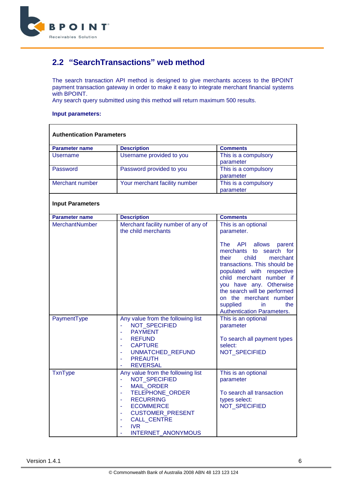

### <span id="page-5-0"></span>**2.2 "SearchTransactions" web method**

The search transaction API method is designed to give merchants access to the BPOINT payment transaction gateway in order to make it easy to integrate merchant financial systems with BPOINT.

Any search query submitted using this method will return maximum 500 results.

#### **Input parameters:**

| <b>Parameter name</b>   | <b>Description</b>                                                                                                                                                                                                    | <b>Comments</b>                                                                                                                                                                                                                                                                                                         |
|-------------------------|-----------------------------------------------------------------------------------------------------------------------------------------------------------------------------------------------------------------------|-------------------------------------------------------------------------------------------------------------------------------------------------------------------------------------------------------------------------------------------------------------------------------------------------------------------------|
| Username                | Username provided to you                                                                                                                                                                                              | This is a compulsory<br>parameter                                                                                                                                                                                                                                                                                       |
| Password                | Password provided to you                                                                                                                                                                                              | This is a compulsory<br>parameter                                                                                                                                                                                                                                                                                       |
| Merchant number         | Your merchant facility number                                                                                                                                                                                         | This is a compulsory<br>parameter                                                                                                                                                                                                                                                                                       |
| <b>Input Parameters</b> |                                                                                                                                                                                                                       |                                                                                                                                                                                                                                                                                                                         |
| <b>Parameter name</b>   | <b>Description</b>                                                                                                                                                                                                    | <b>Comments</b>                                                                                                                                                                                                                                                                                                         |
| <b>MerchantNumber</b>   | Merchant facility number of any of<br>the child merchants                                                                                                                                                             | This is an optional<br>parameter.                                                                                                                                                                                                                                                                                       |
|                         |                                                                                                                                                                                                                       | The API allows<br>parent<br>merchants to search for<br>child<br>their<br>merchant<br>transactions. This should be<br>populated with respective<br>child merchant number if<br>you have any. Otherwise<br>the search will be performed<br>on the merchant number<br>supplied<br>the<br>in.<br>Authentication Parameters. |
| PaymentType             | Any value from the following list<br>NOT_SPECIFIED<br><b>PAYMENT</b><br>ä,<br><b>REFUND</b><br><b>CAPTURE</b><br>UNMATCHED_REFUND<br>÷,<br><b>PREAUTH</b><br><b>REVERSAL</b>                                          | This is an optional<br>parameter<br>To search all payment types<br>select:<br>NOT_SPECIFIED                                                                                                                                                                                                                             |
| <b>TxnType</b>          | Any value from the following list<br>NOT_SPECIFIED<br>MAIL_ORDER<br>٠<br>TELEPHONE_ORDER<br><b>RECURRING</b><br><b>ECOMMERCE</b><br><b>CUSTOMER_PRESENT</b><br><b>CALL_CENTRE</b><br><b>IVR</b><br>INTERNET_ANONYMOUS | This is an optional<br>parameter<br>To search all transaction<br>types select:<br><b>NOT SPECIFIED</b>                                                                                                                                                                                                                  |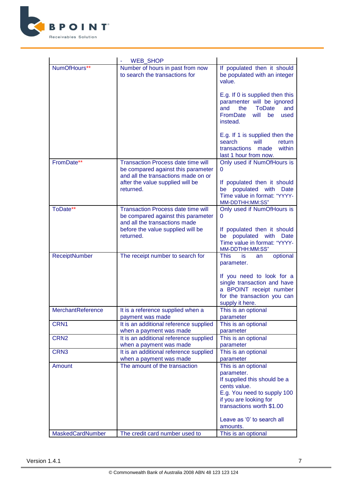

|                   | <b>WEB SHOP</b>                                                                                                        |                                                                                                                                                                         |
|-------------------|------------------------------------------------------------------------------------------------------------------------|-------------------------------------------------------------------------------------------------------------------------------------------------------------------------|
| NumOfHours**      | Number of hours in past from now<br>to search the transactions for                                                     | If populated then it should<br>be populated with an integer<br>value.                                                                                                   |
|                   |                                                                                                                        | E.g. If 0 is supplied then this<br>paramenter will be ignored<br>and<br>the<br><b>ToDate</b><br>and<br><b>FromDate</b><br>will<br>be<br>used<br>instead.                |
|                   |                                                                                                                        | E.g. If 1 is supplied then the<br>search<br>will<br>return<br>transactions<br>made<br>within<br>last 1 hour from now.                                                   |
| FromDate**        | <b>Transaction Process date time will</b><br>be compared against this parameter<br>and all the transactions made on or | Only used if NumOfHours is<br>$\mathbf 0$                                                                                                                               |
|                   | after the value supplied will be<br>returned.                                                                          | If populated then it should<br>be populated with<br><b>Date</b><br>Time value in format: "YYYY-<br>MM-DDTHH:MM:SS"                                                      |
| ToDate**          | <b>Transaction Process date time will</b><br>be compared against this parameter<br>and all the transactions made       | Only used if NumOfHours is<br>$\mathbf 0$                                                                                                                               |
|                   | before the value supplied will be<br>returned.                                                                         | If populated then it should<br>be populated with Date<br>Time value in format: "YYYY-<br>MM-DDTHH:MM:SS"                                                                |
| ReceiptNumber     | The receipt number to search for                                                                                       | <b>This</b><br>optional<br>is.<br>an<br>parameter.                                                                                                                      |
|                   |                                                                                                                        | If you need to look for a<br>single transaction and have<br>a BPOINT receipt number<br>for the transaction you can<br>supply it here.                                   |
| MerchantReference | It is a reference supplied when a<br>payment was made                                                                  | This is an optional<br>parameter                                                                                                                                        |
| CRN1              | It is an additional reference supplied<br>when a payment was made                                                      | This is an optional<br>parameter                                                                                                                                        |
| CRN <sub>2</sub>  | It is an additional reference supplied<br>when a payment was made                                                      | This is an optional<br>parameter                                                                                                                                        |
| CRN <sub>3</sub>  | It is an additional reference supplied<br>when a payment was made                                                      | This is an optional<br>parameter                                                                                                                                        |
| Amount            | The amount of the transaction                                                                                          | This is an optional<br>parameter.<br>If supplied this should be a<br>cents value.<br>E.g. You need to supply 100<br>if you are looking for<br>transactions worth \$1.00 |
|                   |                                                                                                                        | Leave as '0' to search all<br>amounts.                                                                                                                                  |
| MaskedCardNumber  | The credit card number used to                                                                                         | This is an optional                                                                                                                                                     |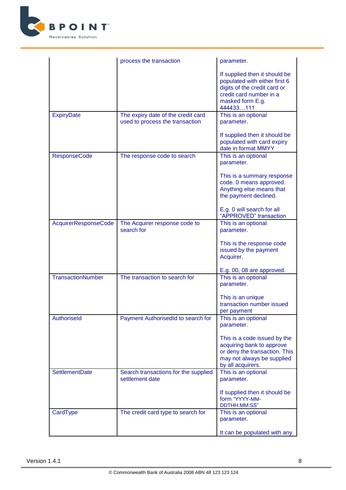

|                             | process the transaction                                               | parameter.                                                                                                                                                 |
|-----------------------------|-----------------------------------------------------------------------|------------------------------------------------------------------------------------------------------------------------------------------------------------|
|                             |                                                                       | If supplied then it should be<br>populated with either first 6<br>digits of the credit card or<br>credit card number in a<br>masked form E.g.<br>444433111 |
| <b>ExpiryDate</b>           | The expiry date of the credit card<br>used to process the transaction | This is an optional<br>parameter.                                                                                                                          |
|                             |                                                                       | If supplied then it should be<br>populated with card expiry<br>date in format MMYY                                                                         |
| <b>ResponseCode</b>         | The response code to search                                           | This is an optional<br>parameter.                                                                                                                          |
|                             |                                                                       | This is a summary response<br>code. 0 means approved.<br>Anything else means that<br>the payment declined.                                                 |
|                             |                                                                       | E.g. 0 will search for all<br>"APPROVED" transaction                                                                                                       |
| <b>AcquirerResponseCode</b> | The Acquirer response code to<br>search for                           | This is an optional<br>parameter.                                                                                                                          |
|                             |                                                                       | This is the response code<br>issued by the payment<br>Acquirer.                                                                                            |
|                             |                                                                       | E.g. 00, 08 are approved.                                                                                                                                  |
| <b>TransactionNumber</b>    | The transaction to search for                                         | This is an optional<br>parameter.                                                                                                                          |
|                             |                                                                       | This is an unique<br>transaction number issued<br>per payment                                                                                              |
| Authoriseld                 | Payment AuthorisedId to search for                                    | This is an optional<br>parameter.                                                                                                                          |
|                             |                                                                       | This is a code issued by the<br>acquiring bank to approve<br>or deny the transaction. This<br>may not always be supplied<br>by all acquirers.              |
| <b>SettlementDate</b>       | Search transactions for the supplied<br>settlement date               | This is an optional<br>parameter.                                                                                                                          |
|                             |                                                                       | If supplied then it should be<br>form "YYYY-MM-<br>DDTHH:MM:SS"                                                                                            |
| CardType                    | The credit card type to search for                                    | This is an optional<br>parameter.                                                                                                                          |
|                             |                                                                       | It can be populated with any                                                                                                                               |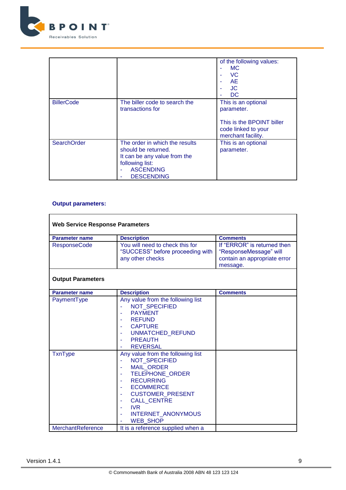

|                    |                                                                                                                                                   | of the following values:<br>MC.<br><b>VC</b><br><b>AE</b><br><b>JC</b><br>DC.                               |
|--------------------|---------------------------------------------------------------------------------------------------------------------------------------------------|-------------------------------------------------------------------------------------------------------------|
| <b>BillerCode</b>  | The biller code to search the<br>transactions for                                                                                                 | This is an optional<br>parameter.<br>This is the BPOINT biller<br>code linked to your<br>merchant facility. |
| <b>SearchOrder</b> | The order in which the results<br>should be returned.<br>It can be any value from the<br>following list:<br><b>ASCENDING</b><br><b>DESCENDING</b> | This is an optional<br>parameter.                                                                           |

| <b>Web Service Response Parameters</b> |                                                                                                                                                                                                                                                         |                                                                                                   |
|----------------------------------------|---------------------------------------------------------------------------------------------------------------------------------------------------------------------------------------------------------------------------------------------------------|---------------------------------------------------------------------------------------------------|
| <b>Parameter name</b>                  | <b>Description</b>                                                                                                                                                                                                                                      | <b>Comments</b>                                                                                   |
| <b>ResponseCode</b>                    | You will need to check this for<br>"SUCCESS" before proceeding with<br>any other checks                                                                                                                                                                 | If "ERROR" is returned then<br>"ResponseMessage" will<br>contain an appropriate error<br>message. |
| <b>Output Parameters</b>               |                                                                                                                                                                                                                                                         |                                                                                                   |
| <b>Parameter name</b>                  | <b>Description</b>                                                                                                                                                                                                                                      | <b>Comments</b>                                                                                   |
| PaymentType                            | Any value from the following list<br><b>NOT SPECIFIED</b><br><b>PAYMENT</b><br><b>REFUND</b><br><b>CAPTURE</b><br><b>UNMATCHED REFUND</b><br><b>PREAUTH</b><br><b>REVERSAL</b>                                                                          |                                                                                                   |
| <b>TxnType</b>                         | Any value from the following list<br><b>NOT SPECIFIED</b><br>÷.<br><b>MAIL ORDER</b><br><b>TELEPHONE ORDER</b><br><b>RECURRING</b><br><b>ECOMMERCE</b><br>CUSTOMER_PRESENT<br><b>CALL_CENTRE</b><br><b>IVR</b><br>INTERNET_ANONYMOUS<br><b>WEB SHOP</b> |                                                                                                   |
| MerchantReference                      | It is a reference supplied when a                                                                                                                                                                                                                       |                                                                                                   |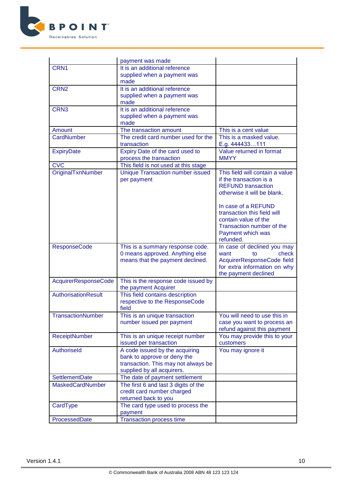

|                          | payment was made                           |                                 |
|--------------------------|--------------------------------------------|---------------------------------|
| CRN1                     | It is an additional reference              |                                 |
|                          | supplied when a payment was                |                                 |
|                          | made                                       |                                 |
| CRN <sub>2</sub>         | It is an additional reference              |                                 |
|                          | supplied when a payment was                |                                 |
|                          | made                                       |                                 |
| CRN <sub>3</sub>         | It is an additional reference              |                                 |
|                          | supplied when a payment was                |                                 |
|                          | made                                       |                                 |
| Amount                   | The transaction amount                     | This is a cent value            |
| CardNumber               | The credit card number used for the        | This is a masked value.         |
|                          | transaction                                | E.g. 444433111                  |
| <b>ExpiryDate</b>        | Expiry Date of the card used to            | Value returned in format        |
|                          | process the transaction                    | <b>MMYY</b>                     |
| <b>CVC</b>               | This field is not used at this stage       |                                 |
| OriginalTxnNumber        | <b>Unique Transaction number issued</b>    | This field will contain a value |
|                          | per payment                                | if the transaction is a         |
|                          |                                            | <b>REFUND</b> transaction       |
|                          |                                            | otherwise it will be blank.     |
|                          |                                            |                                 |
|                          |                                            | In case of a REFUND             |
|                          |                                            | transaction this field will     |
|                          |                                            | contain value of the            |
|                          |                                            | Transaction number of the       |
|                          |                                            | Payment which was               |
|                          |                                            | refunded.                       |
| <b>ResponseCode</b>      | This is a summary response code.           | In case of declined you may     |
|                          | 0 means approved. Anything else            | check<br>want<br>to             |
|                          | means that the payment declined.           | AcquirerResponseCode field      |
|                          |                                            | for extra information on why    |
|                          |                                            | the payment declined            |
| AcquirerResponseCode     | This is the response code issued by        |                                 |
|                          | the payment Acquirer                       |                                 |
| AuthorisationResult      | This field contains description            |                                 |
|                          | respective to the ResponseCode             |                                 |
|                          | field                                      |                                 |
| <b>TransactionNumber</b> | This is an unique transaction              | You will need to use this in    |
|                          | number issued per payment                  | case you want to process an     |
|                          |                                            | refund against this payment     |
| ReceiptNumber            | This is an unique receipt number           | You may provide this to your    |
|                          | issued per transaction                     | customers                       |
| Authoriseld              | A code issued by the acquiring             | You may ignore it               |
|                          | bank to approve or deny the                |                                 |
|                          | transaction. This may not always be        |                                 |
|                          | supplied by all acquirers.                 |                                 |
| SettlementDate           | The date of payment settlement             |                                 |
| <b>MaskedCardNumber</b>  | The first 6 and last 3 digits of the       |                                 |
|                          | credit card number charged                 |                                 |
|                          | returned back to you                       |                                 |
|                          |                                            |                                 |
| CardType                 | The card type used to process the          |                                 |
| ProcessedDate            | payment<br><b>Transaction process time</b> |                                 |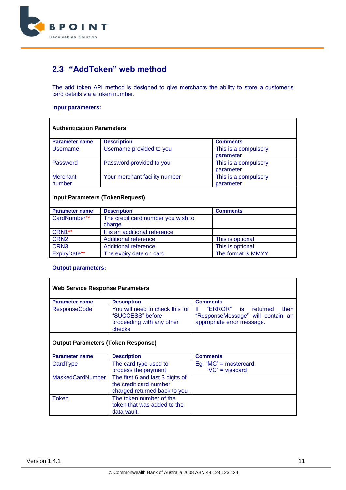

### <span id="page-10-0"></span>**2.3 "AddToken" web method**

The add token API method is designed to give merchants the ability to store a customer's card details via a token number.

#### **Input parameters:**

| <b>Authentication Parameters</b>       |                                              |                                   |  |  |
|----------------------------------------|----------------------------------------------|-----------------------------------|--|--|
| <b>Parameter name</b>                  | <b>Description</b>                           | <b>Comments</b>                   |  |  |
| Username                               | Username provided to you                     | This is a compulsory<br>parameter |  |  |
| Password                               | Password provided to you                     | This is a compulsory<br>parameter |  |  |
| <b>Merchant</b><br>number              | Your merchant facility number                | This is a compulsory<br>parameter |  |  |
| <b>Input Parameters (TokenRequest)</b> |                                              |                                   |  |  |
| <b>Parameter name</b>                  | <b>Description</b>                           | <b>Comments</b>                   |  |  |
| CardNumber**                           | The credit card number you wish to<br>charao |                                   |  |  |

|                     | $1.1.0$ 0.000.000 000.000 0.000.000 0.000 0.000 0.000 0.000 0.000 0.000 0.000 0.000 0.000 0.000 0.000 0.000 0.000 0.000 0.000 0.000 0.000 0.000 0.000 0.000 0.000 0.000 0.000 0.000 0.000 0.000 0.000 0.000 0.000 0.000 0.000 |                    |
|---------------------|-------------------------------------------------------------------------------------------------------------------------------------------------------------------------------------------------------------------------------|--------------------|
|                     | charge                                                                                                                                                                                                                        |                    |
| CRN <sub>1</sub> ** | It is an additional reference                                                                                                                                                                                                 |                    |
| CRN <sub>2</sub>    | Additional reference                                                                                                                                                                                                          | This is optional   |
| CRN <sub>3</sub>    | Additional reference                                                                                                                                                                                                          | This is optional   |
| <b>ExpiryDate**</b> | The expiry date on card                                                                                                                                                                                                       | The format is MMYY |

#### **Output parameters:**

 $\mathsf{r}$ 

| <b>Web Service Response Parameters</b>                                                     |                                                                                                             |  |  |
|--------------------------------------------------------------------------------------------|-------------------------------------------------------------------------------------------------------------|--|--|
| <b>Description</b>                                                                         | <b>Comments</b>                                                                                             |  |  |
| You will need to check this for<br>"SUCCESS" before<br>proceeding with any other<br>checks | "ERROR"<br>Ιf<br>then<br>returned<br>is.<br>"ResponseMessage" will contain an<br>appropriate error message. |  |  |
|                                                                                            |                                                                                                             |  |  |

### **Output Parameters (Token Response)**

| <b>Parameter name</b>   | <b>Description</b>                                                                         | <b>Comments</b>                                  |
|-------------------------|--------------------------------------------------------------------------------------------|--------------------------------------------------|
| CardType                | The card type used to<br>process the payment                                               | Eg. " $MC$ " = mastercard<br>" $VC$ " = visacard |
| <b>MaskedCardNumber</b> | The first 6 and last 3 digits of<br>the credit card number<br>charged returned back to you |                                                  |
| <b>Token</b>            | The token number of the<br>token that was added to the<br>data vault.                      |                                                  |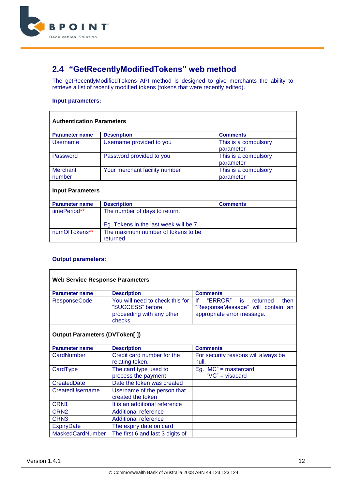

# <span id="page-11-0"></span>**2.4 "GetRecentlyModifiedTokens" web method**

The getRecentlyModifiedTokens API method is designed to give merchants the ability to retrieve a list of recently modified tokens (tokens that were recently edited).

#### **Input parameters:**

| <b>Authentication Parameters</b> |                                                |                                   |  |
|----------------------------------|------------------------------------------------|-----------------------------------|--|
| <b>Parameter name</b>            | <b>Description</b>                             | <b>Comments</b>                   |  |
| Username                         | Username provided to you                       | This is a compulsory<br>parameter |  |
| Password                         | Password provided to you                       | This is a compulsory<br>parameter |  |
| <b>Merchant</b><br>number        | Your merchant facility number                  | This is a compulsory<br>parameter |  |
| <b>Input Parameters</b>          |                                                |                                   |  |
| <b>Parameter name</b>            | <b>Description</b>                             | <b>Comments</b>                   |  |
| timePeriod**                     | The number of days to return.                  |                                   |  |
|                                  | Eg. Tokens in the last week will be 7          |                                   |  |
| numOfTokens**                    | The maximum number of tokens to be<br>returned |                                   |  |

| <b>Web Service Response Parameters</b> |                                                                                            |                                                                                                                   |
|----------------------------------------|--------------------------------------------------------------------------------------------|-------------------------------------------------------------------------------------------------------------------|
| <b>Parameter name</b>                  | <b>Description</b>                                                                         | <b>Comments</b>                                                                                                   |
| <b>ResponseCode</b>                    | You will need to check this for<br>"SUCCESS" before<br>proceeding with any other<br>checks | "ERROR"<br><b>is</b><br>١f<br>returned<br>then<br>"ResponseMessage" will contain an<br>appropriate error message. |
| <b>Output Parameters (DVToken[])</b>   |                                                                                            |                                                                                                                   |
| <b>Parameter name</b>                  | <b>Description</b>                                                                         | <b>Comments</b>                                                                                                   |
| CardNumber                             | Credit card number for the                                                                 | For security reasons will always be                                                                               |
|                                        | relating token.                                                                            | null.                                                                                                             |
| CardType                               | The card type used to                                                                      | Eg. " $MC$ " = mastercard                                                                                         |
|                                        | process the payment                                                                        | " $VC$ " = visacard                                                                                               |
| CreatedDate                            | Date the token was created                                                                 |                                                                                                                   |
| CreatedUsername                        | Username of the person that                                                                |                                                                                                                   |
|                                        | created the token                                                                          |                                                                                                                   |
| CRN <sub>1</sub>                       | It is an additional reference                                                              |                                                                                                                   |
| CRN <sub>2</sub>                       | <b>Additional reference</b>                                                                |                                                                                                                   |
| CRN <sub>3</sub>                       | <b>Additional reference</b>                                                                |                                                                                                                   |
| <b>ExpiryDate</b>                      | The expiry date on card                                                                    |                                                                                                                   |
| MaskedCardNumber                       | The first 6 and last 3 digits of                                                           |                                                                                                                   |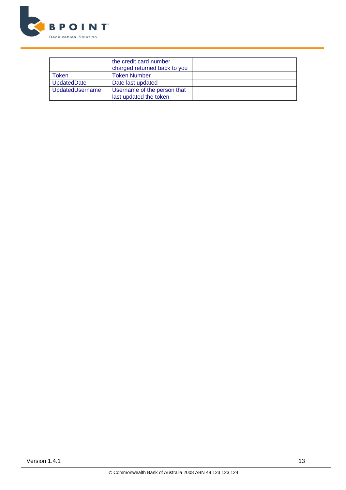

|                 | the credit card number<br>charged returned back to you |  |
|-----------------|--------------------------------------------------------|--|
| Token           | <b>Token Number</b>                                    |  |
| UpdatedDate     | Date last updated                                      |  |
| UpdatedUsername | Username of the person that<br>last updated the token  |  |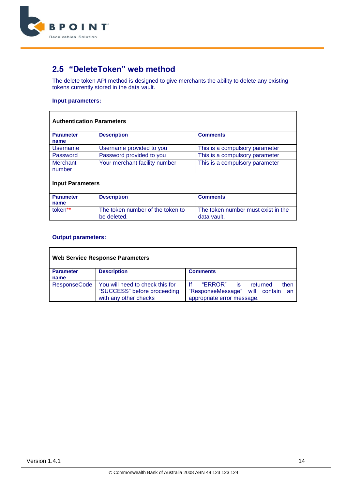

# <span id="page-13-0"></span>**2.5 "DeleteToken" web method**

The delete token API method is designed to give merchants the ability to delete any existing tokens currently stored in the data vault.

#### **Input parameters:**

| <b>Authentication Parameters</b> |                                                 |                                                   |  |
|----------------------------------|-------------------------------------------------|---------------------------------------------------|--|
| <b>Parameter</b><br>name         | <b>Description</b>                              | <b>Comments</b>                                   |  |
| Username                         | Username provided to you                        | This is a compulsory parameter                    |  |
| Password                         | Password provided to you                        | This is a compulsory parameter                    |  |
| <b>Merchant</b><br>number        | Your merchant facility number                   | This is a compulsory parameter                    |  |
| <b>Input Parameters</b>          |                                                 |                                                   |  |
| <b>Parameter</b><br>name         | <b>Description</b>                              | <b>Comments</b>                                   |  |
| token**                          | The token number of the token to<br>be deleted. | The token number must exist in the<br>data vault. |  |

| <b>Web Service Response Parameters</b> |                                                                                         |                                                                                                                   |  |
|----------------------------------------|-----------------------------------------------------------------------------------------|-------------------------------------------------------------------------------------------------------------------|--|
| <b>Parameter</b><br>name               | <b>Description</b>                                                                      | <b>Comments</b>                                                                                                   |  |
| <b>ResponseCode</b>                    | You will need to check this for<br>"SUCCESS" before proceeding<br>with any other checks | "ERROR"<br>Ιf<br>then<br>returned<br>is.<br>"ResponseMessage"<br>will contain<br>an<br>appropriate error message. |  |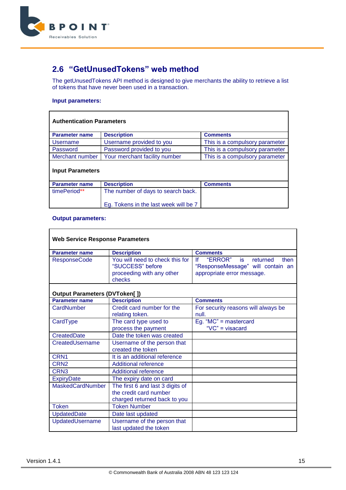

# <span id="page-14-0"></span>**2.6 "GetUnusedTokens" web method**

The getUnusedTokens API method is designed to give merchants the ability to retrieve a list of tokens that have never been used in a transaction.

#### **Input parameters:**

| <b>Authentication Parameters</b> |                                       |                                |  |
|----------------------------------|---------------------------------------|--------------------------------|--|
| <b>Parameter name</b>            | <b>Description</b>                    | <b>Comments</b>                |  |
| Username                         | Username provided to you              | This is a compulsory parameter |  |
| Password                         | Password provided to you              | This is a compulsory parameter |  |
| Merchant number                  | Your merchant facility number         | This is a compulsory parameter |  |
| <b>Input Parameters</b>          |                                       |                                |  |
| <b>Parameter name</b>            | <b>Description</b>                    | <b>Comments</b>                |  |
| timePeriod**                     | The number of days to search back.    |                                |  |
|                                  | Eg. Tokens in the last week will be 7 |                                |  |

#### **Output parameters:**

 $\mathbf{r}$ 

| <b>Web Service Response Parameters</b> |                                                                                            |                                                                                                              |
|----------------------------------------|--------------------------------------------------------------------------------------------|--------------------------------------------------------------------------------------------------------------|
| <b>Parameter name</b>                  | <b>Description</b>                                                                         | <b>Comments</b>                                                                                              |
| <b>ResponseCode</b>                    | You will need to check this for<br>"SUCCESS" before<br>proceeding with any other<br>checks | If<br>"ERROR"<br>returned<br>is i<br>then<br>"ResponseMessage" will contain an<br>appropriate error message. |
| <b>Output Parameters (DVToken[])</b>   |                                                                                            |                                                                                                              |
| <b>Parameter name</b>                  | <b>Description</b>                                                                         | <b>Comments</b>                                                                                              |
| CardNumber                             | Credit card number for the<br>relating token.                                              | For security reasons will always be<br>null.                                                                 |
| CardType                               | The card type used to<br>process the payment                                               | Eg. " $MC$ " = mastercard<br>" $VC$ " = visacard                                                             |
| CreatedDate                            | Date the token was created                                                                 |                                                                                                              |
| CreatedUsername                        | Username of the person that<br>created the token                                           |                                                                                                              |
| CRN <sub>1</sub>                       | It is an additional reference                                                              |                                                                                                              |
| CRN <sub>2</sub>                       | <b>Additional reference</b>                                                                |                                                                                                              |
| CRN <sub>3</sub>                       | <b>Additional reference</b>                                                                |                                                                                                              |
| <b>ExpiryDate</b>                      | The expiry date on card                                                                    |                                                                                                              |
| <b>MaskedCardNumber</b>                | The first 6 and last 3 digits of<br>the credit card number<br>charged returned back to you |                                                                                                              |
| Token                                  | <b>Token Number</b>                                                                        |                                                                                                              |
| <b>UpdatedDate</b>                     | Date last updated                                                                          |                                                                                                              |
| UpdatedUsername                        | Username of the person that<br>last updated the token                                      |                                                                                                              |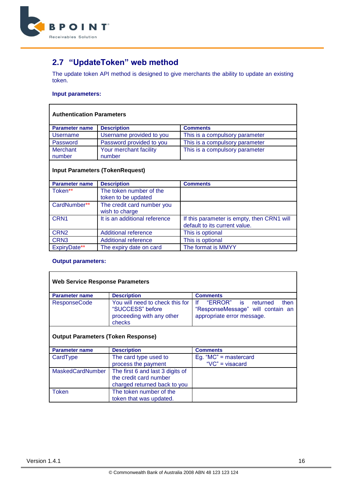

# <span id="page-15-0"></span>**2.7 "UpdateToken" web method**

The update token API method is designed to give merchants the ability to update an existing token.

#### **Input parameters:**

#### **Authentication Parameters**

| <b>Parameter name</b> | <b>Description</b>       | <b>Comments</b>                |
|-----------------------|--------------------------|--------------------------------|
| Username              | Username provided to you | This is a compulsory parameter |
| Password              | Password provided to you | This is a compulsory parameter |
| Merchant              | Your merchant facility   | This is a compulsory parameter |
| number                | number                   |                                |

### **Input Parameters (TokenRequest)**

| <b>Parameter name</b> | <b>Description</b>            | <b>Comments</b>                            |
|-----------------------|-------------------------------|--------------------------------------------|
| Token**               | The token number of the       |                                            |
|                       | token to be updated           |                                            |
| CardNumber**          | The credit card number you    |                                            |
|                       | wish to charge                |                                            |
| CRN <sub>1</sub>      | It is an additional reference | If this parameter is empty, then CRN1 will |
|                       |                               | default to its current value.              |
| CRN <sub>2</sub>      | <b>Additional reference</b>   | This is optional                           |
| CRN <sub>3</sub>      | <b>Additional reference</b>   | This is optional                           |
| ExpiryDate**          | The expiry date on card       | The format is MMYY                         |

| <b>Web Service Response Parameters</b>    |                                                                                            |                                                                                                      |  |
|-------------------------------------------|--------------------------------------------------------------------------------------------|------------------------------------------------------------------------------------------------------|--|
| <b>Parameter name</b>                     | <b>Description</b>                                                                         | <b>Comments</b>                                                                                      |  |
| <b>ResponseCode</b>                       | You will need to check this for<br>"SUCCESS" before<br>proceeding with any other<br>checks | "ERROR" is returned<br>١f<br>then<br>"ResponseMessage" will contain an<br>appropriate error message. |  |
| <b>Output Parameters (Token Response)</b> |                                                                                            |                                                                                                      |  |
| <b>Parameter name</b>                     | <b>Description</b>                                                                         | <b>Comments</b>                                                                                      |  |
| CardType                                  | The card type used to                                                                      | Eg. " $MC$ " = mastercard                                                                            |  |
|                                           | process the payment                                                                        | " $VC$ " = visacard                                                                                  |  |
| <b>MaskedCardNumber</b>                   | The first 6 and last 3 digits of<br>the credit card number<br>charged returned back to you |                                                                                                      |  |
| Token                                     | The token number of the<br>token that was updated.                                         |                                                                                                      |  |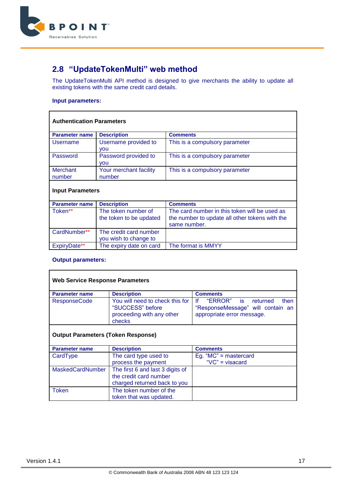

# <span id="page-16-0"></span>**2.8 "UpdateTokenMulti" web method**

The UpdateTokenMulti API method is designed to give merchants the ability to update all existing tokens with the same credit card details.

#### **Input parameters:**

| <b>Authentication Parameters</b> |                                                |                                                                                                 |  |
|----------------------------------|------------------------------------------------|-------------------------------------------------------------------------------------------------|--|
| <b>Parameter name</b>            | <b>Description</b>                             | <b>Comments</b>                                                                                 |  |
| Username                         | Username provided to<br><b>VOU</b>             | This is a compulsory parameter                                                                  |  |
| Password                         | Password provided to<br><b>VOU</b>             | This is a compulsory parameter                                                                  |  |
| Merchant<br>number               | Your merchant facility<br>number               | This is a compulsory parameter                                                                  |  |
| <b>Input Parameters</b>          |                                                |                                                                                                 |  |
| <b>Parameter name</b>            | <b>Description</b>                             | <b>Comments</b>                                                                                 |  |
| Token**                          | The token number of<br>the token to be undated | The card number in this token will be used as<br>the number to undate all other tokens with the |  |

| Token**      | The token number of<br>the token to be updated | The card number in this token will be used as<br>the number to update all other tokens with the<br>same number. |
|--------------|------------------------------------------------|-----------------------------------------------------------------------------------------------------------------|
| CardNumber** | The credit card number                         |                                                                                                                 |
|              | you wish to change to                          |                                                                                                                 |
| ExpirvDate** | The expiry date on card                        | The format is MMYY                                                                                              |

| <b>Web Service Response Parameters</b>                                                                      |                                                                                                                                                                                                    |                                                  |  |
|-------------------------------------------------------------------------------------------------------------|----------------------------------------------------------------------------------------------------------------------------------------------------------------------------------------------------|--------------------------------------------------|--|
| <b>Parameter name</b>                                                                                       | <b>Description</b>                                                                                                                                                                                 | <b>Comments</b>                                  |  |
| <b>ResponseCode</b>                                                                                         | Ιf<br>"ERROR" is returned<br>You will need to check this for<br>then<br>"SUCCESS" before<br>"ResponseMessage" will contain an<br>proceeding with any other<br>appropriate error message.<br>checks |                                                  |  |
| <b>Output Parameters (Token Response)</b><br><b>Description</b><br><b>Comments</b><br><b>Parameter name</b> |                                                                                                                                                                                                    |                                                  |  |
| CardType                                                                                                    | The card type used to<br>process the payment                                                                                                                                                       | Eg. " $MC$ " = mastercard<br>" $VC$ " = visacard |  |
| <b>MaskedCardNumber</b>                                                                                     | The first 6 and last 3 digits of<br>the credit card number<br>charged returned back to you                                                                                                         |                                                  |  |
| Token                                                                                                       | The token number of the<br>token that was updated.                                                                                                                                                 |                                                  |  |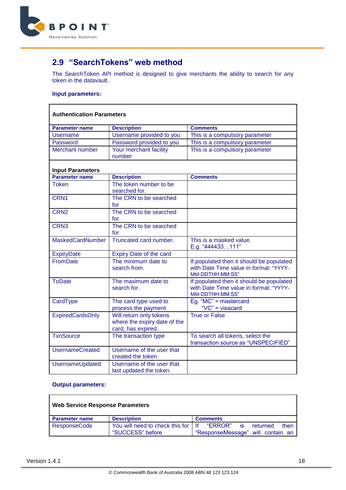

# <span id="page-17-0"></span>**2.9 "SearchTokens" web method**

The SearchToken API method is designed to give merchants the ability to search for any token in the datavault.

#### **Input parameters:**

 $\mathbf{r}$ 

| <b>Authentication Parameters</b> |                                                                               |                                                                                                       |  |
|----------------------------------|-------------------------------------------------------------------------------|-------------------------------------------------------------------------------------------------------|--|
| <b>Parameter name</b>            | <b>Description</b>                                                            | <b>Comments</b>                                                                                       |  |
| <b>Username</b>                  | Username provided to you                                                      | This is a compulsory parameter                                                                        |  |
| Password                         | Password provided to you                                                      | This is a compulsory parameter                                                                        |  |
| Merchant number                  | Your merchant facility<br>number                                              | This is a compulsory parameter                                                                        |  |
| <b>Input Parameters</b>          |                                                                               |                                                                                                       |  |
| <b>Parameter name</b>            | <b>Description</b>                                                            | <b>Comments</b>                                                                                       |  |
| <b>Token</b>                     | The token number to be<br>searched for.                                       |                                                                                                       |  |
| CRN <sub>1</sub>                 | The CRN to be searched<br>for                                                 |                                                                                                       |  |
| CRN <sub>2</sub>                 | The CRN to be searched<br>for                                                 |                                                                                                       |  |
| CRN <sub>3</sub>                 | The CRN to be searched<br>for                                                 |                                                                                                       |  |
| <b>MaskedCardNumber</b>          | Truncated card number.                                                        | This is a masked value.<br>E.g. "444433111"                                                           |  |
| <b>ExpiryDate</b>                | Expiry Date of the card                                                       |                                                                                                       |  |
| <b>FromDate</b>                  | The minimum date to<br>search from.                                           | If populated then it should be populated<br>with Date Time value in format: "YYYY-<br>MM-DDTHH:MM:SS" |  |
| <b>ToDate</b>                    | The maximum date to<br>search for.                                            | If populated then it should be populated<br>with Date Time value in format: "YYYY-<br>MM-DDTHH:MM:SS" |  |
| CardType                         | The card type used to<br>process the payment                                  | Eg. " $MC$ " = mastercard<br>"VC" = visacard                                                          |  |
| <b>ExpiredCardsOnly</b>          | Will return only tokens<br>where the expiry date of the<br>card, has expired. | <b>True or False</b>                                                                                  |  |
| <b>TxnSource</b>                 | The transaction type                                                          | To search all tokens, select the<br>transaction source as "UNSPECIFIED"                               |  |
| <b>UsernameCreated</b>           | Username of the user that<br>created the token                                |                                                                                                       |  |
| UsernameUpdated                  | Username of the user that<br>last updated the token.                          |                                                                                                       |  |

| <b>Web Service Response Parameters</b> |                                                          |                                                                               |  |
|----------------------------------------|----------------------------------------------------------|-------------------------------------------------------------------------------|--|
| <b>Parameter name</b>                  | <b>Description</b>                                       | <b>Comments</b>                                                               |  |
| <b>ResponseCode</b>                    | You will need to check this for I If<br>"SUCCESS" before | "ERROR"<br>returned<br>then<br><b>is</b><br>"ResponseMessage" will contain an |  |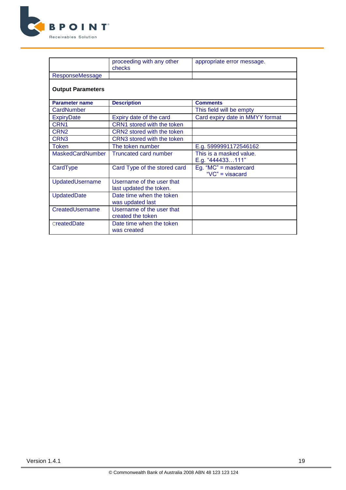

|                          | proceeding with any other<br>checks                  | appropriate error message.                       |
|--------------------------|------------------------------------------------------|--------------------------------------------------|
| <b>ResponseMessage</b>   |                                                      |                                                  |
| <b>Output Parameters</b> |                                                      |                                                  |
| <b>Parameter name</b>    | <b>Description</b>                                   | <b>Comments</b>                                  |
| CardNumber               |                                                      | This field will be empty                         |
| <b>ExpiryDate</b>        | Expiry date of the card                              | Card expiry date in MMYY format                  |
| CRN <sub>1</sub>         | CRN1 stored with the token                           |                                                  |
| CRN <sub>2</sub>         | CRN2 stored with the token                           |                                                  |
| CRN <sub>3</sub>         | CRN3 stored with the token                           |                                                  |
| <b>Token</b>             | The token number                                     | E.g. 5999991172546162                            |
| <b>MaskedCardNumber</b>  | Truncated card number                                | This is a masked value.<br>E.g. "444433111"      |
| CardType                 | Card Type of the stored card                         | Eg. " $MC$ " = mastercard<br>" $VC$ " = visacard |
| UpdatedUsername          | Username of the user that<br>last updated the token. |                                                  |
| UpdatedDate              | Date time when the token<br>was updated last         |                                                  |
| CreatedUsername          | Username of the user that<br>created the token       |                                                  |
| createdDate              | Date time when the token<br>was created              |                                                  |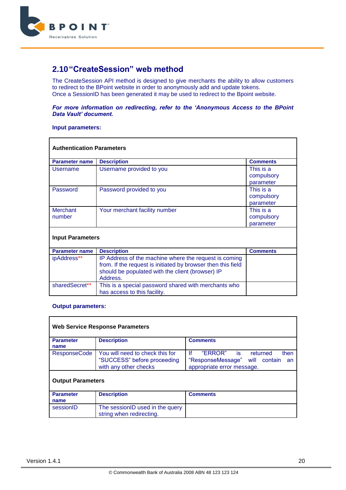

### <span id="page-19-0"></span>**2.10"CreateSession" web method**

The CreateSession API method is designed to give merchants the ability to allow customers to redirect to the BPoint website in order to anonymously add and update tokens. Once a SessionID has been generated it may be used to redirect to the Bpoint website.

#### *For more information on redirecting, refer to the 'Anonymous Access to the BPoint Data Vault' document.*

#### **Input parameters:**

| <b>Authentication Parameters</b> |                                                                                                                                                                                       |                                      |  |
|----------------------------------|---------------------------------------------------------------------------------------------------------------------------------------------------------------------------------------|--------------------------------------|--|
| <b>Parameter name</b>            | <b>Description</b>                                                                                                                                                                    | <b>Comments</b>                      |  |
| Username                         | Username provided to you                                                                                                                                                              | This is a<br>compulsory<br>parameter |  |
| Password                         | Password provided to you                                                                                                                                                              | This is a<br>compulsory<br>parameter |  |
| <b>Merchant</b><br>number        | Your merchant facility number                                                                                                                                                         | This is a<br>compulsory<br>parameter |  |
| <b>Input Parameters</b>          |                                                                                                                                                                                       |                                      |  |
| <b>Parameter name</b>            | <b>Description</b>                                                                                                                                                                    | <b>Comments</b>                      |  |
| ipAddress**                      | IP Address of the machine where the request is coming<br>from. If the request is initiated by browser then this field<br>should be populated with the client (browser) IP<br>Address. |                                      |  |
| sharedSecret**                   | This is a special password shared with merchants who<br>has access to this facility.                                                                                                  |                                      |  |

| <b>Web Service Response Parameters</b> |                                                                                         |                                                                                                                  |  |
|----------------------------------------|-----------------------------------------------------------------------------------------|------------------------------------------------------------------------------------------------------------------|--|
| <b>Parameter</b><br>name               | <b>Description</b>                                                                      | <b>Comments</b>                                                                                                  |  |
| <b>ResponseCode</b>                    | You will need to check this for<br>"SUCCESS" before proceeding<br>with any other checks | Ιf<br>"ERROR" is<br>returned<br>then<br>"ResponseMessage"<br>will<br>contain<br>an<br>appropriate error message. |  |
| <b>Output Parameters</b>               |                                                                                         |                                                                                                                  |  |
| <b>Parameter</b><br>name               | <b>Description</b>                                                                      | <b>Comments</b>                                                                                                  |  |
| sessionID                              | The sessionID used in the query<br>string when redirecting.                             |                                                                                                                  |  |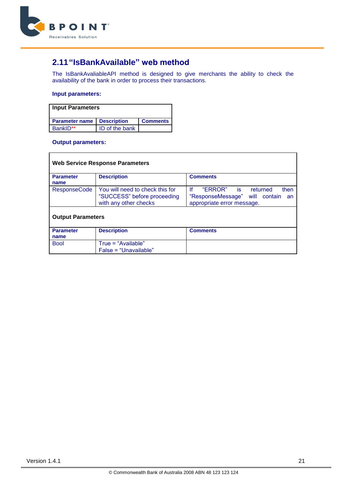

# <span id="page-20-0"></span>**2.11"IsBankAvailable" web method**

The IsBankAvaliableAPI method is designed to give merchants the ability to check the availability of the bank in order to process their transactions.

#### **Input parameters:**

| <b>Input Parameters</b>             |                |                 |  |
|-------------------------------------|----------------|-----------------|--|
| <b>Parameter name   Description</b> |                | <b>Comments</b> |  |
| BankID**                            | ID of the bank |                 |  |

| <b>Web Service Response Parameters</b> |                                                                                         |                                                                                                                |  |
|----------------------------------------|-----------------------------------------------------------------------------------------|----------------------------------------------------------------------------------------------------------------|--|
| <b>Parameter</b><br>name               | <b>Description</b>                                                                      | <b>Comments</b>                                                                                                |  |
| <b>ResponseCode</b>                    | You will need to check this for<br>"SUCCESS" before proceeding<br>with any other checks | Ιf<br>"ERROR"<br>then<br>is.<br>returned<br>"ResponseMessage" will contain<br>an<br>appropriate error message. |  |
| <b>Output Parameters</b>               |                                                                                         |                                                                                                                |  |
| <b>Parameter</b><br>name               | <b>Description</b>                                                                      | <b>Comments</b>                                                                                                |  |
| <b>Bool</b>                            | $True = "Available"$<br>$False = "Unavailable"$                                         |                                                                                                                |  |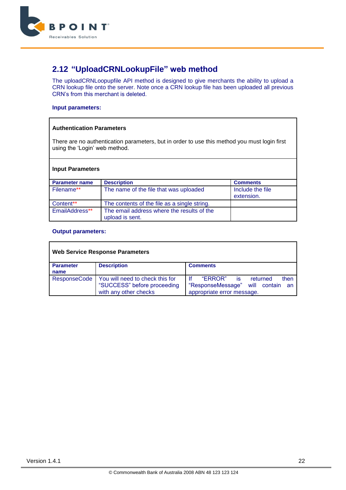

# <span id="page-21-0"></span>**2.12 "UploadCRNLookupFile" web method**

The uploadCRNLoopupfile API method is designed to give merchants the ability to upload a CRN lookup file onto the server. Note once a CRN lookup file has been uploaded all previous CRN's from this merchant is deleted.

#### **Input parameters:**

#### **Authentication Parameters**

There are no authentication parameters, but in order to use this method you must login first using the 'Login' web method.

#### **Input Parameters**

| <b>Parameter name</b> | <b>Description</b>                                            | <b>Comments</b>                |
|-----------------------|---------------------------------------------------------------|--------------------------------|
| Filename**            | The name of the file that was uploaded                        | Include the file<br>extension. |
| Content**             | The contents of the file as a single string.                  |                                |
| EmailAddress**        | The email address where the results of the<br>upload is sent. |                                |

| <b>Web Service Response Parameters</b> |                                                                                         |                                                                                                                     |  |
|----------------------------------------|-----------------------------------------------------------------------------------------|---------------------------------------------------------------------------------------------------------------------|--|
| <b>Parameter</b><br>name               | <b>Description</b>                                                                      | <b>Comments</b>                                                                                                     |  |
| <b>ResponseCode</b>                    | You will need to check this for<br>"SUCCESS" before proceeding<br>with any other checks | Ιf<br>"ERROR"<br>then<br>returned<br>is<br>"ResponseMessage"<br>contain<br>will<br>an<br>appropriate error message. |  |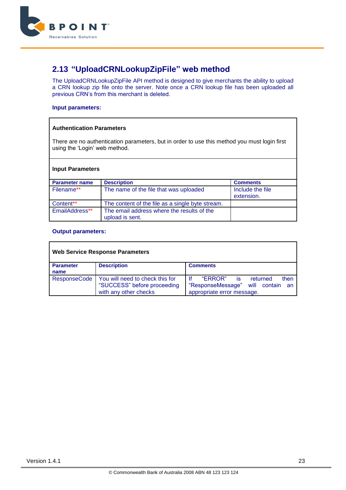

# <span id="page-22-0"></span>**2.13 "UploadCRNLookupZipFile" web method**

The UploadCRNLookupZipFile API method is designed to give merchants the ability to upload a CRN lookup zip file onto the server. Note once a CRN lookup file has been uploaded all previous CRN's from this merchant is deleted.

#### **Input parameters:**

#### **Authentication Parameters**

There are no authentication parameters, but in order to use this method you must login first using the 'Login' web method.

#### **Input Parameters**

| <b>Parameter name</b> | <b>Description</b>                                            | <b>Comments</b>                |
|-----------------------|---------------------------------------------------------------|--------------------------------|
| Filename**            | The name of the file that was uploaded                        | Include the file<br>extension. |
| Content**             | The content of the file as a single byte stream.              |                                |
| EmailAddress**        | The email address where the results of the<br>upload is sent. |                                |

| <b>Web Service Response Parameters</b> |                                                                                         |                                                                                                                     |  |
|----------------------------------------|-----------------------------------------------------------------------------------------|---------------------------------------------------------------------------------------------------------------------|--|
| <b>Parameter</b><br>name               | <b>Description</b>                                                                      | <b>Comments</b>                                                                                                     |  |
| <b>ResponseCode</b>                    | You will need to check this for<br>"SUCCESS" before proceeding<br>with any other checks | Ιf<br>"ERROR"<br>then<br>returned<br>is<br>"ResponseMessage"<br>contain<br>will<br>an<br>appropriate error message. |  |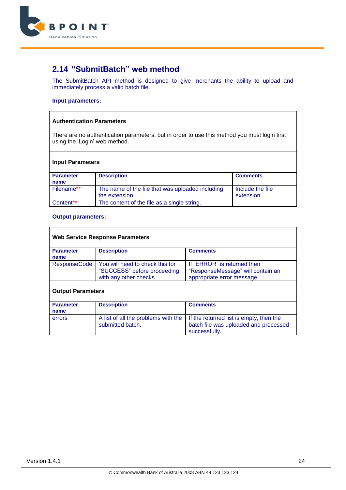

### <span id="page-23-0"></span>**2.14 "SubmitBatch" web method**

The SubmitBatch API method is designed to give merchants the ability to upload and immediately process a valid batch file.

#### **Input parameters:**

#### **Authentication Parameters**

There are no authentication parameters, but in order to use this method you must login first using the 'Login' web method.

#### **Input Parameters**

| <b>Parameter</b><br>name | <b>Description</b>                                                 | <b>Comments</b>                |
|--------------------------|--------------------------------------------------------------------|--------------------------------|
|                          |                                                                    |                                |
| Filename**               | The name of the file that was uploaded including<br>the extension. | Include the file<br>extension. |
| Content**                | The content of the file as a single string.                        |                                |

| <b>Web Service Response Parameters</b> |                                                                                         |                                                                                                   |
|----------------------------------------|-----------------------------------------------------------------------------------------|---------------------------------------------------------------------------------------------------|
| <b>Parameter</b><br>name               | <b>Description</b>                                                                      | <b>Comments</b>                                                                                   |
| <b>ResponseCode</b>                    | You will need to check this for<br>"SUCCESS" before proceeding<br>with any other checks | If "ERROR" is returned then<br>"ResponseMessage" will contain an<br>appropriate error message.    |
| <b>Output Parameters</b>               |                                                                                         |                                                                                                   |
| <b>Parameter</b><br>name               | <b>Description</b>                                                                      | <b>Comments</b>                                                                                   |
| errors                                 | A list of all the problems with the<br>submitted batch.                                 | If the returned list is empty, then the<br>batch file was uploaded and processed<br>successfully. |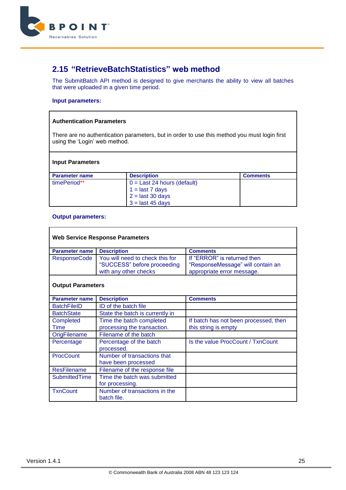

### <span id="page-24-0"></span>**2.15 "RetrieveBatchStatistics" web method**

The SubmitBatch API method is designed to give merchants the ability to view all batches that were uploaded in a given time period.

#### **Input parameters:**

#### **Authentication Parameters**

There are no authentication parameters, but in order to use this method you must login first using the 'Login' web method.

#### **Input Parameters**

| <b>Parameter name</b> | <b>Description</b>            | <b>Comments</b> |
|-----------------------|-------------------------------|-----------------|
| timePeriod**          | $0 =$ Last 24 hours (default) |                 |
|                       | $1 =$ last 7 days             |                 |
|                       | $2 =$ last 30 days            |                 |
|                       | $3 =$ last 45 days            |                 |

#### **Output parameters:**

 $\mathbf{r}$ 

| <b>Web Service Response Parameters</b> |                                 |                                       |
|----------------------------------------|---------------------------------|---------------------------------------|
| <b>Parameter name</b>                  | <b>Description</b>              | <b>Comments</b>                       |
| <b>ResponseCode</b>                    | You will need to check this for | If "ERROR" is returned then           |
|                                        | "SUCCESS" before proceeding     | "ResponseMessage" will contain an     |
|                                        | with any other checks           | appropriate error message.            |
| <b>Output Parameters</b>               |                                 |                                       |
| <b>Parameter name</b>                  | <b>Description</b>              | <b>Comments</b>                       |
| <b>BatchFileID</b>                     | ID of the batch file            |                                       |
| <b>BatchState</b>                      | State the batch is currently in |                                       |
| Completed                              | Time the batch completed        | If batch has not been processed, then |
| Time                                   | processing the transaction.     | this string is empty                  |
| OrigFilename                           | Filename of the batch           |                                       |
| Percentage                             | Percentage of the batch         | Is the value ProcCount / TxnCount     |
|                                        | processed.                      |                                       |
| <b>ProcCount</b>                       | Number of transactions that     |                                       |
|                                        | have been processed             |                                       |
| <b>ResFilename</b>                     | Filename of the response file   |                                       |
| <b>SubmittedTime</b>                   | Time the batch was submitted    |                                       |
|                                        | for processing.                 |                                       |
| <b>TxnCount</b>                        | Number of transactions in the   |                                       |
|                                        | batch file.                     |                                       |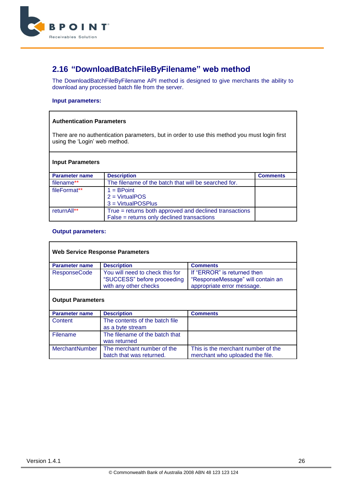

## <span id="page-25-0"></span>**2.16 "DownloadBatchFileByFilename" web method**

The DownloadBatchFileByFilename API method is designed to give merchants the ability to download any processed batch file from the server.

#### **Input parameters:**

#### **Authentication Parameters**

There are no authentication parameters, but in order to use this method you must login first using the 'Login' web method.

#### **Input Parameters**

| <b>Parameter name</b> | <b>Description</b>                                     | <b>Comments</b> |
|-----------------------|--------------------------------------------------------|-----------------|
| filename**            | The filename of the batch that will be searched for.   |                 |
| fileFormat**          | $1 = BPoint$                                           |                 |
|                       | $2 = VirtualPOS$                                       |                 |
|                       | 3 = VirtualPOSPlus                                     |                 |
| returnAll**           | True = returns both approved and declined transactions |                 |
|                       | False = returns only declined transactions             |                 |

| <b>Web Service Response Parameters</b> |                                                                                         |                                                                                                |
|----------------------------------------|-----------------------------------------------------------------------------------------|------------------------------------------------------------------------------------------------|
| <b>Parameter name</b>                  | <b>Description</b>                                                                      | <b>Comments</b>                                                                                |
| <b>ResponseCode</b>                    | You will need to check this for<br>"SUCCESS" before proceeding<br>with any other checks | If "ERROR" is returned then<br>"ResponseMessage" will contain an<br>appropriate error message. |
| <b>Output Parameters</b>               |                                                                                         |                                                                                                |
| <b>Parameter name</b>                  | <b>Description</b>                                                                      | <b>Comments</b>                                                                                |
| Content                                | The contents of the batch file<br>as a byte stream                                      |                                                                                                |
| Filename                               | The filename of the batch that<br>was returned                                          |                                                                                                |
| <b>MerchantNumber</b>                  | The merchant number of the<br>batch that was returned.                                  | This is the merchant number of the<br>merchant who uploaded the file.                          |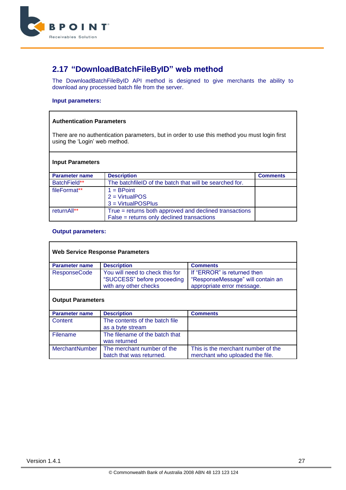

# <span id="page-26-0"></span>**2.17 "DownloadBatchFileByID" web method**

The DownloadBatchFileByID API method is designed to give merchants the ability to download any processed batch file from the server.

#### **Input parameters:**

#### **Authentication Parameters**

There are no authentication parameters, but in order to use this method you must login first using the 'Login' web method.

#### **Input Parameters**

| <b>Parameter name</b> | <b>Description</b>                                      | <b>Comments</b> |
|-----------------------|---------------------------------------------------------|-----------------|
| BatchField**          | The batchfileID of the batch that will be searched for. |                 |
| fileFormat**          | $1 = BPoint$                                            |                 |
|                       | $2 = VirtualPOS$                                        |                 |
|                       | 3 = VirtualPOSPlus                                      |                 |
| returnAll**           | True = returns both approved and declined transactions  |                 |
|                       | False = returns only declined transactions              |                 |

| <b>Web Service Response Parameters</b> |                                                                                         |                                                                                                |
|----------------------------------------|-----------------------------------------------------------------------------------------|------------------------------------------------------------------------------------------------|
| <b>Parameter name</b>                  | <b>Description</b>                                                                      | <b>Comments</b>                                                                                |
| <b>ResponseCode</b>                    | You will need to check this for<br>"SUCCESS" before proceeding<br>with any other checks | If "ERROR" is returned then<br>"ResponseMessage" will contain an<br>appropriate error message. |
| <b>Output Parameters</b>               |                                                                                         |                                                                                                |
| <b>Parameter name</b>                  | <b>Description</b>                                                                      | <b>Comments</b>                                                                                |
| Content                                | The contents of the batch file<br>as a byte stream                                      |                                                                                                |
| Filename                               | The filename of the batch that<br>was returned                                          |                                                                                                |
| <b>MerchantNumber</b>                  | The merchant number of the<br>batch that was returned.                                  | This is the merchant number of the<br>merchant who uploaded the file.                          |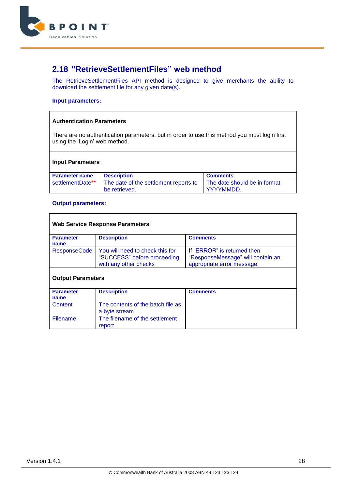

### <span id="page-27-0"></span>**2.18 "RetrieveSettlementFiles" web method**

The RetrieveSettlementFiles API method is designed to give merchants the ability to download the settlement file for any given date(s).

#### **Input parameters:**

#### **Authentication Parameters**

There are no authentication parameters, but in order to use this method you must login first using the 'Login' web method.

| <b>Input Parameters</b> |                                                        |                                           |
|-------------------------|--------------------------------------------------------|-------------------------------------------|
| <b>Parameter name</b>   | <b>Description</b>                                     | <b>Comments</b>                           |
| settlementDate**        | The date of the settlement reports to<br>be retrieved. | The date should be in format<br>YYYYMMDD. |

| <b>Web Service Response Parameters</b> |                                                                                         |                                                                                                |
|----------------------------------------|-----------------------------------------------------------------------------------------|------------------------------------------------------------------------------------------------|
| <b>Parameter</b><br>name               | <b>Description</b>                                                                      | <b>Comments</b>                                                                                |
| <b>ResponseCode</b>                    | You will need to check this for<br>"SUCCESS" before proceeding<br>with any other checks | If "ERROR" is returned then<br>"ResponseMessage" will contain an<br>appropriate error message. |
| <b>Output Parameters</b>               |                                                                                         |                                                                                                |
| <b>Parameter</b><br>name               | <b>Description</b>                                                                      | <b>Comments</b>                                                                                |
| Content                                | The contents of the batch file as<br>a byte stream                                      |                                                                                                |
| Filename                               | The filename of the settlement<br>report.                                               |                                                                                                |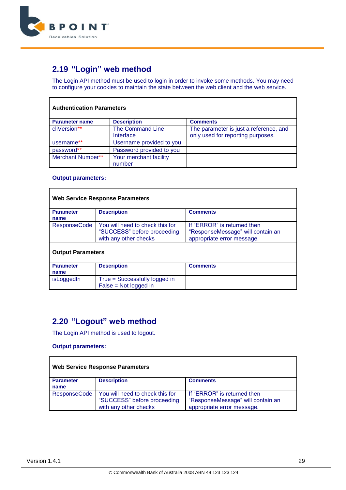

# <span id="page-28-0"></span>**2.19 "Login" web method**

The Login API method must be used to login in order to invoke some methods. You may need to configure your cookies to maintain the state between the web client and the web service.

| <b>Authentication Parameters</b> |                                      |                                                                             |
|----------------------------------|--------------------------------------|-----------------------------------------------------------------------------|
| <b>Parameter name</b>            | <b>Description</b>                   | <b>Comments</b>                                                             |
| cliVersion**                     | <b>The Command Line</b><br>Interface | The parameter is just a reference, and<br>only used for reporting purposes. |
| username**                       | Username provided to you             |                                                                             |
| password**                       | Password provided to you             |                                                                             |
| Merchant Number**                | Your merchant facility<br>number     |                                                                             |

#### **Output parameters:**

|                          | <b>Web Service Response Parameters</b>                                                  |                                                                                                |
|--------------------------|-----------------------------------------------------------------------------------------|------------------------------------------------------------------------------------------------|
| <b>Parameter</b><br>name | <b>Description</b>                                                                      | <b>Comments</b>                                                                                |
| <b>ResponseCode</b>      | You will need to check this for<br>"SUCCESS" before proceeding<br>with any other checks | If "ERROR" is returned then<br>"ResponseMessage" will contain an<br>appropriate error message. |
| <b>Output Parameters</b> |                                                                                         |                                                                                                |
| <b>Parameter</b><br>name | <b>Description</b>                                                                      | <b>Comments</b>                                                                                |
| isLoggedIn               | True = Successfully logged in<br>$False = Not logged in$                                |                                                                                                |

### <span id="page-28-1"></span>**2.20 "Logout" web method**

The Login API method is used to logout.

#### **Output parameters:**

|                          | <b>Web Service Response Parameters</b>                                                  |                                                                                                |
|--------------------------|-----------------------------------------------------------------------------------------|------------------------------------------------------------------------------------------------|
| <b>Parameter</b><br>name | <b>Description</b>                                                                      | <b>Comments</b>                                                                                |
| <b>ResponseCode</b>      | You will need to check this for<br>"SUCCESS" before proceeding<br>with any other checks | If "ERROR" is returned then<br>"ResponseMessage" will contain an<br>appropriate error message. |

h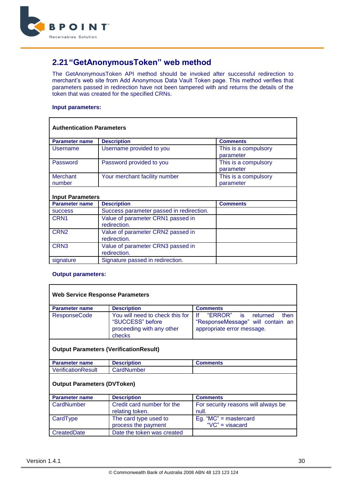

# <span id="page-29-0"></span>**2.21"GetAnonymousToken" web method**

The GetAnonymousToken API method should be invoked after successful redirection to merchant's web site from Add Anonymous Data Vault Token page. This method verifies that parameters passed in redirection have not been tampered with and returns the details of the token that was created for the specified CRNs.

#### **Input parameters:**

| <b>Authentication Parameters</b> |                                                   |                                   |  |
|----------------------------------|---------------------------------------------------|-----------------------------------|--|
| <b>Parameter name</b>            | <b>Description</b>                                | <b>Comments</b>                   |  |
| Username                         | Username provided to you                          | This is a compulsory<br>parameter |  |
| Password                         | Password provided to you                          | This is a compulsory<br>parameter |  |
| <b>Merchant</b><br>number        | Your merchant facility number                     | This is a compulsory<br>parameter |  |
| <b>Input Parameters</b>          |                                                   |                                   |  |
| <b>Parameter name</b>            | <b>Description</b>                                | <b>Comments</b>                   |  |
| <b>SUCCESS</b>                   | Success parameter passed in redirection.          |                                   |  |
| CRN <sub>1</sub>                 | Value of parameter CRN1 passed in<br>redirection. |                                   |  |
| CRN <sub>2</sub>                 | Value of parameter CRN2 passed in<br>redirection. |                                   |  |
| CRN <sub>3</sub>                 | Value of parameter CRN3 passed in<br>redirection. |                                   |  |
| signature                        | Signature passed in redirection.                  |                                   |  |

| Web Service Response Parameters               |                                                                                            |                                                                                                         |
|-----------------------------------------------|--------------------------------------------------------------------------------------------|---------------------------------------------------------------------------------------------------------|
| <b>Parameter name</b>                         | <b>Description</b>                                                                         | <b>Comments</b>                                                                                         |
| <b>ResponseCode</b>                           | You will need to check this for<br>"SUCCESS" before<br>proceeding with any other<br>checks | ١f<br>"ERROR"<br>is returned<br>then<br>"ResponseMessage" will contain an<br>appropriate error message. |
| <b>Output Parameters (VerificationResult)</b> |                                                                                            |                                                                                                         |
| <b>Parameter name</b>                         | <b>Description</b>                                                                         | <b>Comments</b>                                                                                         |
| VerificationResult                            | CardNumber                                                                                 |                                                                                                         |
| <b>Output Parameters (DVToken)</b>            |                                                                                            |                                                                                                         |
| <b>Parameter name</b>                         | <b>Description</b>                                                                         | <b>Comments</b>                                                                                         |
| CardNumber                                    | Credit card number for the<br>relating token.                                              | For security reasons will always be<br>null.                                                            |
| CardType                                      | The card type used to<br>process the payment                                               | Eg. " $MC$ " = mastercard<br>" $VC$ " = visacard                                                        |
| CreatedDate                                   | Date the token was created                                                                 |                                                                                                         |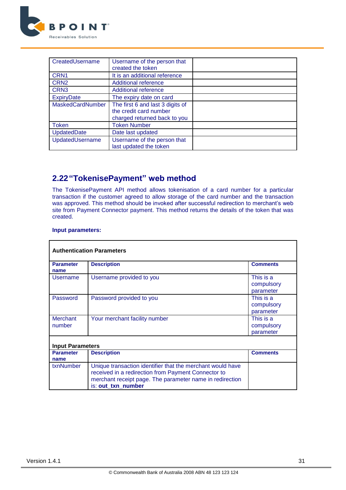

| CreatedUsername         | Username of the person that<br>created the token                                           |  |
|-------------------------|--------------------------------------------------------------------------------------------|--|
| CRN <sub>1</sub>        | It is an additional reference                                                              |  |
| CRN <sub>2</sub>        | <b>Additional reference</b>                                                                |  |
| CRN <sub>3</sub>        | <b>Additional reference</b>                                                                |  |
| <b>ExpiryDate</b>       | The expiry date on card                                                                    |  |
| <b>MaskedCardNumber</b> | The first 6 and last 3 digits of<br>the credit card number<br>charged returned back to you |  |
| <b>Token</b>            | <b>Token Number</b>                                                                        |  |
| <b>UpdatedDate</b>      | Date last updated                                                                          |  |
| UpdatedUsername         | Username of the person that<br>last updated the token                                      |  |

# <span id="page-30-0"></span>**2.22"TokenisePayment" web method**

The TokenisePayment API method allows tokenisation of a card number for a particular transaction if the customer agreed to allow storage of the card number and the transaction was approved. This method should be invoked after successful redirection to merchant's web site from Payment Connector payment. This method returns the details of the token that was created.

#### **Input parameters:**

|                           | <b>Authentication Parameters</b>                                                                                                                                                                    |                                      |
|---------------------------|-----------------------------------------------------------------------------------------------------------------------------------------------------------------------------------------------------|--------------------------------------|
| <b>Parameter</b><br>name  | <b>Description</b>                                                                                                                                                                                  | <b>Comments</b>                      |
| Username                  | Username provided to you                                                                                                                                                                            | This is a<br>compulsory<br>parameter |
| Password                  | Password provided to you                                                                                                                                                                            | This is a<br>compulsory<br>parameter |
| <b>Merchant</b><br>number | Your merchant facility number                                                                                                                                                                       | This is a<br>compulsory<br>parameter |
| <b>Input Parameters</b>   |                                                                                                                                                                                                     |                                      |
| <b>Parameter</b><br>name  | <b>Description</b>                                                                                                                                                                                  | <b>Comments</b>                      |
| txnNumber                 | Unique transaction identifier that the merchant would have<br>received in a redirection from Payment Connector to<br>merchant receipt page. The parameter name in redirection<br>is: out_txn_number |                                      |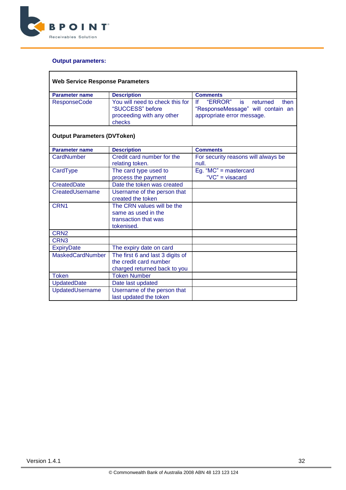

| <b>Web Service Response Parameters</b> |                                                                                         |                                                                              |
|----------------------------------------|-----------------------------------------------------------------------------------------|------------------------------------------------------------------------------|
| <b>Parameter name</b>                  | <b>Description</b>                                                                      | <b>Comments</b>                                                              |
| <b>ResponseCode</b>                    | You will need to check this for<br>"SUCCESS" before                                     | "ERROR"<br>If<br>is<br>returned<br>then<br>"ResponseMessage" will contain an |
|                                        | proceeding with any other<br>checks                                                     | appropriate error message.                                                   |
| <b>Output Parameters (DVToken)</b>     |                                                                                         |                                                                              |
| <b>Parameter name</b>                  | <b>Description</b>                                                                      | <b>Comments</b>                                                              |
| CardNumber                             | Credit card number for the<br>relating token.                                           | For security reasons will always be<br>null.                                 |
| CardType                               | The card type used to                                                                   | Eq. " $MC$ " = mastercard                                                    |
|                                        | process the payment                                                                     | "VC" = visacard                                                              |
| <b>CreatedDate</b>                     | Date the token was created                                                              |                                                                              |
| CreatedUsername                        | Username of the person that<br>created the token                                        |                                                                              |
| CRN <sub>1</sub>                       | The CRN values will be the<br>same as used in the<br>transaction that was<br>tokenised. |                                                                              |
| CRN <sub>2</sub>                       |                                                                                         |                                                                              |
| CRN <sub>3</sub>                       |                                                                                         |                                                                              |
| <b>ExpiryDate</b>                      | The expiry date on card                                                                 |                                                                              |
| <b>MaskedCardNumber</b>                | The first 6 and last 3 digits of                                                        |                                                                              |
|                                        | the credit card number                                                                  |                                                                              |
|                                        | charged returned back to you                                                            |                                                                              |
| <b>Token</b>                           | <b>Token Number</b>                                                                     |                                                                              |
| <b>UpdatedDate</b>                     | Date last updated                                                                       |                                                                              |
| UpdatedUsername                        | Username of the person that<br>last updated the token                                   |                                                                              |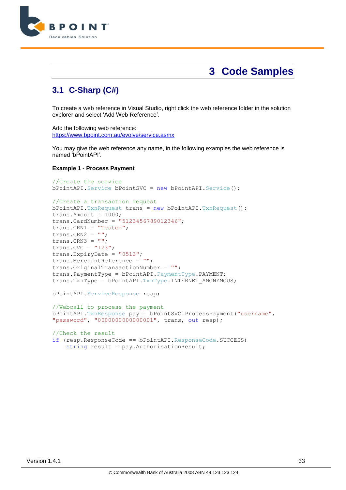

# **3 Code Samples**

### <span id="page-32-1"></span><span id="page-32-0"></span>**3.1 C-Sharp (C#)**

To create a web reference in Visual Studio, right click the web reference folder in the solution explorer and select 'Add Web Reference'.

Add the following web reference: <https://www.bpoint.com.au/evolve/service.asmx>

You may give the web reference any name, in the following examples the web reference is named 'bPointAPI'.

#### **Example 1 - Process Payment**

```
//Create the service
bPointAPI.Service bPointSVC = new bPointAPI.Service();
//Create a transaction request
bPointAPI.TxnRequest trans = new bPointAPI.TxnRequest();
trans. Amount = 1000;
trans.CardNumber = "5123456789012346";
trans.CRN1 = "Tester";
trans.CRN2 = ";
trans.CRN3 = ";
trans.CVC = "123";
trans.ExpiryDate = "0513";
trans.MerchantReference = "";
trans.OriginalTransactionNumber = "";
trans.PaymentType = bPointAPI.PaymentType.PAYMENT;
trans.TxnType = bPointAPI.TxnType.INTERNET_ANONYMOUS;
bPointAPI.ServiceResponse resp;
//Webcall to process the payment
bPointAPI.TxnResponse pay = bPointSVC.ProcessPayment("username", 
"password", "0000000000000001", trans, out resp);
//Check the result
if (resp.ResponseCode == bPointAPI.ResponseCode.SUCCESS)
     string result = pay.AuthorisationResult;
```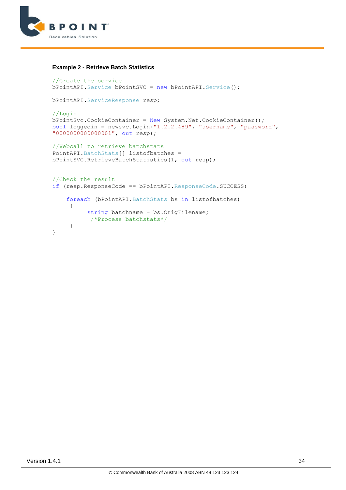

#### **Example 2 - Retrieve Batch Statistics**

```
//Create the service
bPointAPI.Service bPointSVC = new bPointAPI.Service();
```
bPointAPI.ServiceResponse resp;

//Login bPointSvc.CookieContainer = New System.Net.CookieContainer(); bool loggedin = newsvc.Login(" $1.2.2.489$ ", "username", "password", "0000000000000001", out resp);

```
//Webcall to retrieve batchstats
PointAPI.BatchStats[] listofbatches = 
bPointSVC.RetrieveBatchStatistics(1, out resp);
```

```
//Check the result
if (resp.ResponseCode == bPointAPI.ResponseCode.SUCCESS)
{
     foreach (bPointAPI.BatchStats bs in listofbatches)
     \left\{ \right.string batchname = bs.OrigFilename;
            /*Process batchstats*/
      }
}
```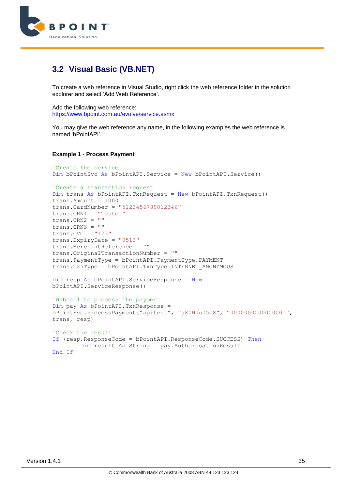

### <span id="page-34-0"></span>**3.2 Visual Basic (VB.NET)**

To create a web reference in Visual Studio, right click the web reference folder in the solution explorer and select 'Add Web Reference'.

Add the following web reference: <https://www.bpoint.com.au/evolve/service.asmx>

You may give the web reference any name, in the following examples the web reference is named 'bPointAPI'.

#### **Example 1 - Process Payment**

```
'Create the service
Dim bPointSvc As bPointAPI.Service = New bPointAPI.Service()
'Create a transaction request
Dim trans As bPointAPI.TxnRequest = New bPointAPI.TxnRequest()
trans.Amount = 1000
trans.CardNumber = "5123456789012346"
trans.CRN1 = "Tester"
trans.CRN2 = ""trans.CRN3 = ""
trans.CVC = "123"trans.ExpiryDate = "0513"
trans.MerchantReference = ""
trans.OriginalTransactionNumber = ""
trans.PaymentType = bPointAPI.PaymentType.PAYMENT
trans.TxnType = bPointAPI.TxnType.INTERNET_ANONYMOUS
Dim resp As bPointAPI.ServiceResponse = New
bPointAPI.ServiceResponse()
'Webcall to process the payment
Dim pay As bPointAPI.TxnResponse = 
bPointSvc.ProcessPayment("apitest", "gE0NJu05o8", "0000000000000001", 
trans, resp)
'Check the result
If (resp.ResponseCode = bPointAPI.ResponseCode.SUCCESS) Then
         Dim result As String = pay.AuthorisationResult
End If
```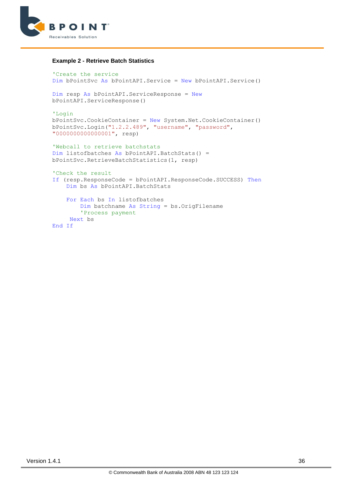

#### **Example 2 - Retrieve Batch Statistics**

```
'Create the service
Dim bPointSvc As bPointAPI.Service = New bPointAPI.Service()
Dim resp As bPointAPI.ServiceResponse = New
bPointAPI.ServiceResponse()
'Login
bPointSvc.CookieContainer = New System.Net.CookieContainer()
bPointSvc.Login("1.2.2.489", "username", "password", 
"0000000000000001", resp)
'Webcall to retrieve batchstats
Dim listofbatches As bPointAPI.BatchStats() = 
bPointSvc.RetrieveBatchStatistics(1, resp)
'Check the result
If (resp.ResponseCode = bPointAPI.ResponseCode.SUCCESS) Then
     Dim bs As bPointAPI.BatchStats
     For Each bs In listofbatches
         Dim batchname As String = bs.OrigFilename
         'Process payment
      Next bs
End If
```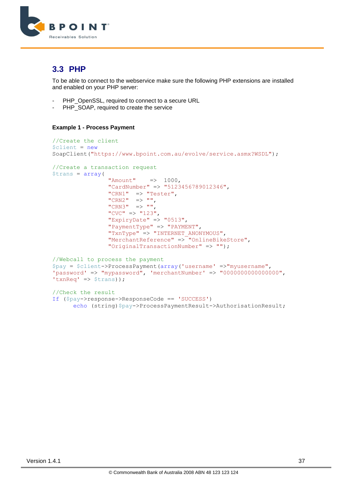

### <span id="page-36-0"></span>**3.3 PHP**

To be able to connect to the webservice make sure the following PHP extensions are installed and enabled on your PHP server:

- PHP\_OpenSSL, required to connect to a secure URL
- PHP\_SOAP, required to create the service

#### **Example 1 - Process Payment**

```
//Create the client
$client = newSoapClient("https://www.bpoint.com.au/evolve/service.asmx?WSDL");
//Create a transaction request
$trans = array(
                 "Amount" \Rightarrow 1000,
                  "CardNumber" => "5123456789012346",
                 "CRN1" => "Tester",
             "CRN2" \Rightarrow "",
             "CRN3" \Rightarrow "",
                 "CVC" \Rightarrow "123",
                 "ExpiryDate" \Rightarrow "0513",
                  "PaymentType" => "PAYMENT",
                 "TxnType" => "INTERNET ANONYMOUS",
                  "MerchantReference" => "OnlineBikeStore",
                  "OriginalTransactionNumber" => "");
//Webcall to process the payment
$pay = $client->ProcessPayment(array('username' =>"myusername", 
'password' => "mypassword", 'merchantNumber' => "0000000000000000", 
'txnReq' => $trans));
//Check the result
If ($pay->response->ResponseCode == 'SUCCESS')
      echo (string) $pay->ProcessPaymentResult->AuthorisationResult;
```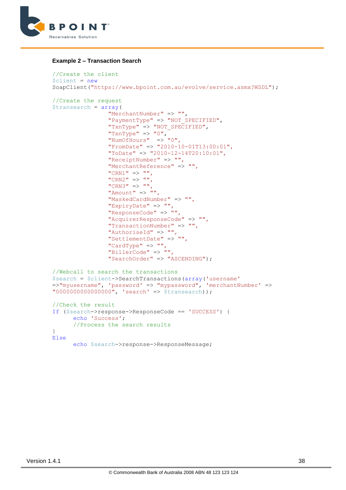

#### **Example 2 – Transaction Search**

```
//Create the client
$client = new
SoapClient("https://www.bpoint.com.au/evolve/service.asmx?WSDL");
//Create the request
$transearch = array(
                  "MerchantNumber" => "",
                  "PaymentType" => "NOT_SPECIFIED",
                 "TxnType" => "NOT SPECIFIED",
                 "TxnType" \Rightarrow "0",
                 "NumOfHours" \Rightarrow "0",
                  "FromDate" => "2010-10-01T13:00:01",
                  "ToDate" => "2010-12-14T20:10:01",
                  "ReceiptNumber" => "",
                  "MerchantReference" => "",
                 "CRN1" \Rightarrow "",
                 "CRN2" \Rightarrow "",
                 "CRN3" \Rightarrow ""
                 "Amount" \Rightarrow "",
                 "MaskedCardNumber" => "",
                  "ExpiryDate" => "",
                  "ResponseCode" => "",
                  "AcquirerResponseCode" => "",
                  "TransactionNumber" => "",
                 "AuthoriseId" => "",
                  "SettlementDate" => "",
                 "CardType" => "",
                  "BillerCode" => "",
                  "SearchOrder" => "ASCENDING");
//Webcall to search the transactions
$search = $client->SearchTransactions(array('username'
=>"myusername", 'password' => "mypassword", 'merchantNumber' => 
"0000000000000000000", 'search' => $transearch));
//Check the result
If ($search->response->ResponseCode == 'SUCCESS') {
      echo 'Success';
      //Process the search results
}
Else
      echo $search->response->ResponseMessage;
```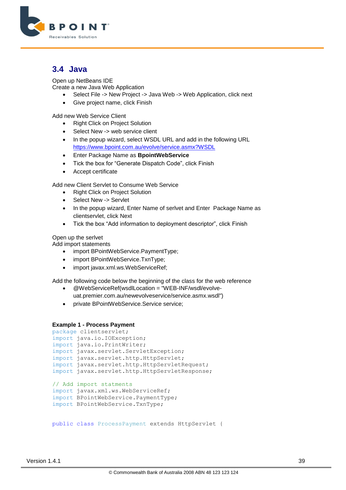

### <span id="page-38-0"></span>**3.4 Java**

Open up NetBeans IDE

Create a new Java Web Application

- Select File -> New Project -> Java Web -> Web Application, click next
- Give project name, click Finish

Add new Web Service Client

- Right Click on Project Solution
- Select New -> web service client
- In the popup wizard, select WSDL URL and add in the following URL <https://www.bpoint.com.au/evolve/service.asmx?WSDL>
- Enter Package Name as **BpointWebService**
- Tick the box for "Generate Dispatch Code", click Finish
- Accept certificate

Add new Client Servlet to Consume Web Service

- Right Click on Project Solution
- Select New -> Servlet
- In the popup wizard, Enter Name of serlvet and Enter Package Name as clientservlet, click Next
- Tick the box "Add information to deployment descriptor", click Finish

Open up the serlvet

Add import statements

- import BPointWebService.PaymentType;
- import BPointWebService.TxnType;
- import javax.xml.ws.WebServiceRef;

Add the following code below the beginning of the class for the web reference

- @WebServiceRef(wsdlLocation = "WEB-INF/wsdl/evolveuat.premier.com.au/newevolveservice/service.asmx.wsdl")
- private BPointWebService.Service service;

#### **Example 1 - Process Payment**

```
package clientservlet;
import java.io.IOException;
import java.io.PrintWriter;
import javax.servlet.ServletException;
import javax.servlet.http.HttpServlet;
import javax.servlet.http.HttpServletRequest;
import javax.servlet.http.HttpServletResponse;
// Add import statments
import javax.xml.ws.WebServiceRef;
import BPointWebService.PaymentType;
import BPointWebService.TxnType;
```
public class ProcessPayment extends HttpServlet {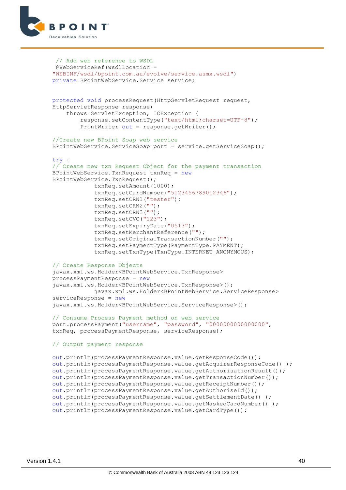

```
// Add web reference to WSDL
 @WebServiceRef(wsdlLocation = 
"WEBINF/wsdl/bpoint.com.au/evolve/service.asmx.wsdl")
private BPointWebService.Service service;
protected void processRequest(HttpServletRequest request,
HttpServletResponse response)
     throws ServletException, IOException {
         response.setContentType("text/html;charset=UTF-8");
         PrintWriter out = response.getWriter();
//Create new BPoint Soap web service
BPointWebService.ServiceSoap port = service.getServiceSoap();
try {
// Create new txn Request Object for the payment transaction
BPointWebService.TxnRequest txnReq = new
BPointWebService.TxnRequest();
             txnReq.setAmount(1000);
             txnReq.setCardNumber("5123456789012346");
             txnReq.setCRN1("tester");
             txnReq.setCRN2("");
             txnReq.setCRN3("");
             txnReq.setCVC("123");
             txnReq.setExpiryDate("0513");
             txnReq.setMerchantReference("");
             txnReq.setOriginalTransactionNumber("");
             txnReq.setPaymentType(PaymentType.PAYMENT);
             txnReq.setTxnType(TxnType.INTERNET_ANONYMOUS);
// Create Response Objects
javax.xml.ws.Holder<BPointWebService.TxnResponse> 
processPaymentResponse = new
javax.xml.ws.Holder<BPointWebService.TxnResponse>();
             javax.xml.ws.Holder<BPointWebService.ServiceResponse> 
serviceResponse = new
javax.xml.ws.Holder<BPointWebService.ServiceResponse>();
// Consume Process Payment method on web service
port.processPayment("username", "password", "0000000000000000", 
txnReq, processPaymentResponse, serviceResponse);
// Output payment response
out.println(processPaymentResponse.value.getResponseCode()); 
out.println(processPaymentResponse.value.getAcquirerResponseCode() ); 
out.println(processPaymentResponse.value.getAuthorisationResult()); 
out.println(processPaymentResponse.value.getTransactionNumber()); 
out.println(processPaymentResponse.value.getReceiptNumber());
out.println(processPaymentResponse.value.getAuthoriseId()); 
out.println(processPaymentResponse.value.getSettlementDate() ); 
out.println(processPaymentResponse.value.getMaskedCardNumber() );
out.println(processPaymentResponse.value.getCardType());
```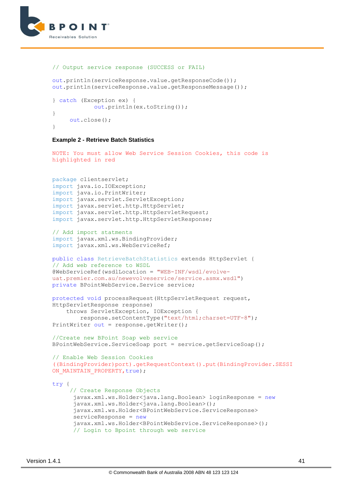

```
// Output service response (SUCCESS or FAIL)
```

```
out.println(serviceResponse.value.getResponseCode());
out.println(serviceResponse.value.getResponseMessage());
} catch (Exception ex) {
             out.println(ex.toString());
}
      out.close();
}
```
#### **Example 2 - Retrieve Batch Statistics**

```
NOTE: You must allow Web Service Session Cookies, this code is 
highlighted in red 
package clientservlet;
import java.io.IOException;
import java.io.PrintWriter;
import javax.servlet.ServletException;
import javax.servlet.http.HttpServlet;
import javax.servlet.http.HttpServletRequest;
import javax.servlet.http.HttpServletResponse;
// Add import statments
import javax.xml.ws.BindingProvider;
import javax.xml.ws.WebServiceRef;
public class RetrieveBatchStatistics extends HttpServlet {
// Add web reference to WSDL
@WebServiceRef(wsdlLocation = "WEB-INF/wsdl/evolve-
uat.premier.com.au/newevolveservice/service.asmx.wsdl")
private BPointWebService.Service service;
protected void processRequest(HttpServletRequest request,
HttpServletResponse response)
     throws ServletException, IOException {
         response.setContentType("text/html;charset=UTF-8");
PrintWriter out = response.getWriter();
//Create new BPoint Soap web service
BPointWebService.ServiceSoap port = service.getServiceSoap();
// Enable Web Session Cookies 
((BindingProvider)port).getRequestContext().put(BindingProvider.SESSI
ON MAINTAIN PROPERTY, true);
try {
      // Create Response Objects
      javax.xml.ws.Holder<java.lang.Boolean> loginResponse = new
      javax.xml.ws.Holder<java.lang.Boolean>();
      javax.xml.ws.Holder<BPointWebService.ServiceResponse> 
      serviceResponse = new
      javax.xml.ws.Holder<BPointWebService.ServiceResponse>();
```

```
 // Login to Bpoint through web service
```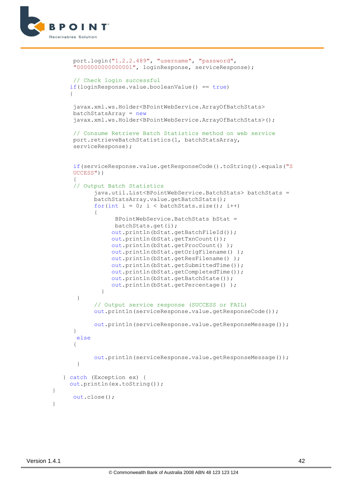

```
port.login("1.2.2.489", "username", "password", 
      "0000000000000001", loginResponse, serviceResponse);
       // Check login successful
      if(loginResponse.value.booleanValue() == true)
      {
      javax.xml.ws.Holder<BPointWebService.ArrayOfBatchStats> 
      batchStatsArray = new
      javax.xml.ws.Holder<BPointWebService.ArrayOfBatchStats>();
      // Consume Retrieve Batch Statistics method on web service
      port.retrieveBatchStatistics(1, batchStatsArray, 
      serviceResponse);
      if(serviceResponse.value.getResponseCode().toString().equals("S
      UCCESS"))
\left\{\begin{array}{c} \end{array}\right. // Output Batch Statistics
            java.util.List<BPointWebService.BatchStats> batchStats = 
            batchStatsArray.value.getBatchStats();
            for(int i = 0; i < batchStats.size(); i++)
      \left\{\begin{array}{c} \end{array}\right.BPointWebService.BatchStats bStat = 
                  batchStats.get(i);
                   out.println(bStat.getBatchFileId());
                   out.println(bStat.getTxnCount());
                   out.println(bStat.getProcCount() );
                  out.println(bStat.getOrigFilename() );
                  out.println(bStat.getResFilename() );
                  out.println(bStat.getSubmittedTime());
                  out.println(bStat.getCompletedTime());
                  out.println(bStat.getBatchState());
                  out.println(bStat.getPercentage() );
       }
 }
             // Output service response (SUCCESS or FAIL)
             out.println(serviceResponse.value.getResponseCode());
            out.println(serviceResponse.value.getResponseMessage());
       }
        else
       {
            out.println(serviceResponse.value.getResponseMessage());
 }
    } catch (Exception ex) {
      out.println(ex.toString());
       out.close();
```
}

}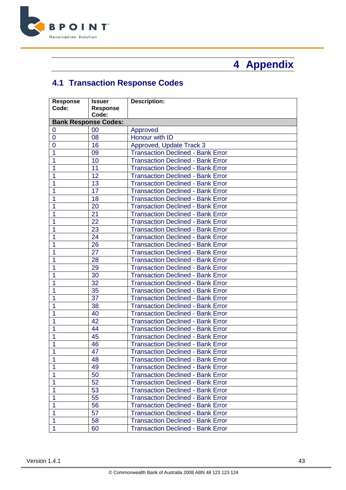

# **Appendix**

# <span id="page-42-1"></span><span id="page-42-0"></span>**4.1 Transaction Response Codes**

| <b>Response</b> | <b>Issuer</b>               | <b>Description:</b>                      |
|-----------------|-----------------------------|------------------------------------------|
| Code:           | Response                    |                                          |
|                 | Code:                       |                                          |
|                 | <b>Bank Response Codes:</b> |                                          |
| 0               | 00                          | Approved                                 |
| 0               | 08                          | Honour with ID                           |
| 0               | 16                          | Approved, Update Track 3                 |
| 1               | 09                          | <b>Transaction Declined - Bank Error</b> |
| 1               | 10                          | <b>Transaction Declined - Bank Error</b> |
| 1               | 11                          | <b>Transaction Declined - Bank Error</b> |
|                 | 12                          | <b>Transaction Declined - Bank Error</b> |
| 1               | 13                          | <b>Transaction Declined - Bank Error</b> |
| 1               | 17                          | <b>Transaction Declined - Bank Error</b> |
|                 | 18                          | <b>Transaction Declined - Bank Error</b> |
| 1               | 20                          | <b>Transaction Declined - Bank Error</b> |
|                 | 21                          | <b>Transaction Declined - Bank Error</b> |
| 1               | 22                          | <b>Transaction Declined - Bank Error</b> |
| 1               | 23                          | <b>Transaction Declined - Bank Error</b> |
|                 | 24                          | <b>Transaction Declined - Bank Error</b> |
|                 | 26                          | <b>Transaction Declined - Bank Error</b> |
| 1               | 27                          | <b>Transaction Declined - Bank Error</b> |
|                 | 28                          | <b>Transaction Declined - Bank Error</b> |
|                 | 29                          | <b>Transaction Declined - Bank Error</b> |
| 1               | 30                          | <b>Transaction Declined - Bank Error</b> |
| 1               | 32                          | <b>Transaction Declined - Bank Error</b> |
| 1               | 35                          | <b>Transaction Declined - Bank Error</b> |
| 1               | 37                          | <b>Transaction Declined - Bank Error</b> |
|                 | 38                          | <b>Transaction Declined - Bank Error</b> |
|                 | 40                          | <b>Transaction Declined - Bank Error</b> |
| 1               | 42                          | <b>Transaction Declined - Bank Error</b> |
|                 | 44                          | <b>Transaction Declined - Bank Error</b> |
|                 | 45                          | <b>Transaction Declined - Bank Error</b> |
|                 | 46                          | <b>Transaction Declined - Bank Error</b> |
| 1               | 47                          | <b>Transaction Declined - Bank Error</b> |
| 4               | 48                          | <b>Transaction Declined - Bank Error</b> |
| 1               | 49                          | <b>Transaction Declined - Bank Error</b> |
|                 | 50                          | <b>Transaction Declined - Bank Error</b> |
|                 | 52                          | <b>Transaction Declined - Bank Error</b> |
| 1               | 53                          | <b>Transaction Declined - Bank Error</b> |
|                 | 55                          | <b>Transaction Declined - Bank Error</b> |
| 1               | 56                          | <b>Transaction Declined - Bank Error</b> |
|                 | 57                          | <b>Transaction Declined - Bank Error</b> |
|                 | 58                          | <b>Transaction Declined - Bank Error</b> |
| 1               | 60                          | <b>Transaction Declined - Bank Error</b> |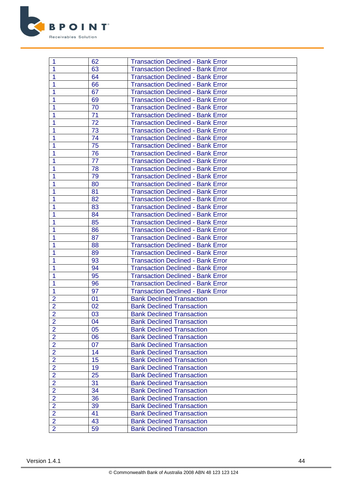

| 1              | 62 | <b>Transaction Declined - Bank Error</b> |
|----------------|----|------------------------------------------|
| 1              | 63 | <b>Transaction Declined - Bank Error</b> |
| 1              | 64 | <b>Transaction Declined - Bank Error</b> |
|                | 66 | <b>Transaction Declined - Bank Error</b> |
|                | 67 | <b>Transaction Declined - Bank Error</b> |
|                | 69 | <b>Transaction Declined - Bank Error</b> |
|                | 70 | <b>Transaction Declined - Bank Error</b> |
| 1              | 71 | <b>Transaction Declined - Bank Error</b> |
|                | 72 | <b>Transaction Declined - Bank Error</b> |
|                | 73 | <b>Transaction Declined - Bank Error</b> |
| 1              | 74 | <b>Transaction Declined - Bank Error</b> |
|                | 75 | <b>Transaction Declined - Bank Error</b> |
|                | 76 | <b>Transaction Declined - Bank Error</b> |
|                | 77 | <b>Transaction Declined - Bank Error</b> |
|                | 78 | <b>Transaction Declined - Bank Error</b> |
| 1              | 79 | <b>Transaction Declined - Bank Error</b> |
|                | 80 | <b>Transaction Declined - Bank Error</b> |
|                | 81 | <b>Transaction Declined - Bank Error</b> |
|                | 82 | <b>Transaction Declined - Bank Error</b> |
|                | 83 | <b>Transaction Declined - Bank Error</b> |
|                | 84 | <b>Transaction Declined - Bank Error</b> |
|                | 85 | <b>Transaction Declined - Bank Error</b> |
|                | 86 | <b>Transaction Declined - Bank Error</b> |
| 1              | 87 | <b>Transaction Declined - Bank Error</b> |
|                | 88 | <b>Transaction Declined - Bank Error</b> |
|                | 89 | <b>Transaction Declined - Bank Error</b> |
|                | 93 | <b>Transaction Declined - Bank Error</b> |
|                | 94 | <b>Transaction Declined - Bank Error</b> |
|                | 95 | <b>Transaction Declined - Bank Error</b> |
|                | 96 | <b>Transaction Declined - Bank Error</b> |
| 1              | 97 | <b>Transaction Declined - Bank Error</b> |
| $\overline{2}$ | 01 | <b>Bank Declined Transaction</b>         |
| $\overline{2}$ | 02 | <b>Bank Declined Transaction</b>         |
| $\overline{2}$ | 03 | <b>Bank Declined Transaction</b>         |
| $\overline{2}$ | 04 | <b>Bank Declined Transaction</b>         |
| $\overline{2}$ | 05 | <b>Bank Declined Transaction</b>         |
| $\overline{2}$ | 06 | <b>Bank Declined Transaction</b>         |
| $\overline{2}$ | 07 | <b>Bank Declined Transaction</b>         |
| $\overline{2}$ | 14 | <b>Bank Declined Transaction</b>         |
| $\overline{2}$ | 15 | <b>Bank Declined Transaction</b>         |
| $\overline{2}$ | 19 | <b>Bank Declined Transaction</b>         |
| $\overline{2}$ | 25 | <b>Bank Declined Transaction</b>         |
| $\overline{2}$ | 31 | <b>Bank Declined Transaction</b>         |
| $\overline{2}$ | 34 | <b>Bank Declined Transaction</b>         |
| $\overline{2}$ | 36 | <b>Bank Declined Transaction</b>         |
| $\overline{2}$ | 39 | <b>Bank Declined Transaction</b>         |
| $\overline{2}$ | 41 | <b>Bank Declined Transaction</b>         |
| $\overline{2}$ | 43 | <b>Bank Declined Transaction</b>         |
| $\overline{2}$ | 59 | <b>Bank Declined Transaction</b>         |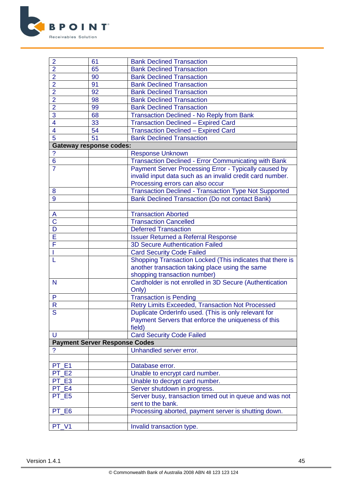

| $\overline{2}$          | 61                                   | <b>Bank Declined Transaction</b>                             |
|-------------------------|--------------------------------------|--------------------------------------------------------------|
| $\overline{2}$          | 65                                   | <b>Bank Declined Transaction</b>                             |
| $\overline{2}$          | 90                                   | <b>Bank Declined Transaction</b>                             |
| $\overline{2}$          | 91                                   | <b>Bank Declined Transaction</b>                             |
| $\overline{2}$          | 92                                   | <b>Bank Declined Transaction</b>                             |
| $\overline{2}$          | 98                                   | <b>Bank Declined Transaction</b>                             |
| $\overline{2}$          | 99                                   | <b>Bank Declined Transaction</b>                             |
| 3                       | 68                                   | <b>Transaction Declined - No Reply from Bank</b>             |
| $\overline{\mathbf{4}}$ | 33                                   | <b>Transaction Declined - Expired Card</b>                   |
| $\overline{\mathbf{4}}$ | 54                                   | <b>Transaction Declined - Expired Card</b>                   |
| $\overline{5}$          | 51                                   | <b>Bank Declined Transaction</b>                             |
|                         | <b>Gateway response codes:</b>       |                                                              |
| ?                       |                                      | <b>Response Unknown</b>                                      |
| $\overline{6}$          |                                      | <b>Transaction Declined - Error Communicating with Bank</b>  |
| 7                       |                                      | Payment Server Processing Error - Typically caused by        |
|                         |                                      | invalid input data such as an invalid credit card number.    |
|                         |                                      | Processing errors can also occur                             |
| 8                       |                                      | <b>Transaction Declined - Transaction Type Not Supported</b> |
| 9                       |                                      | <b>Bank Declined Transaction (Do not contact Bank)</b>       |
|                         |                                      |                                                              |
| A                       |                                      | <b>Transaction Aborted</b>                                   |
| $\overline{\text{C}}$   |                                      | <b>Transaction Cancelled</b>                                 |
| D                       |                                      | <b>Deferred Transaction</b>                                  |
| E                       |                                      | <b>Issuer Returned a Referral Response</b>                   |
| F                       |                                      | <b>3D Secure Authentication Failed</b>                       |
|                         |                                      | <b>Card Security Code Failed</b>                             |
|                         |                                      | Shopping Transaction Locked (This indicates that there is    |
|                         |                                      | another transaction taking place using the same              |
|                         |                                      | shopping transaction number)                                 |
| N                       |                                      | Cardholder is not enrolled in 3D Secure (Authentication      |
|                         |                                      | Only)                                                        |
| P                       |                                      | <b>Transaction is Pending</b>                                |
| R                       |                                      | <b>Retry Limits Exceeded, Transaction Not Processed</b>      |
| $\overline{\mathsf{S}}$ |                                      | Duplicate OrderInfo used. (This is only relevant for         |
|                         |                                      | Payment Servers that enforce the uniqueness of this          |
|                         |                                      | field)                                                       |
| U                       |                                      | <b>Card Security Code Failed</b>                             |
|                         | <b>Payment Server Response Codes</b> |                                                              |
| ?                       |                                      | Unhandled server error.                                      |
|                         |                                      |                                                              |
| PT E1                   |                                      | Database error.                                              |
| PT E2                   |                                      | Unable to encrypt card number.                               |
| PT E3                   |                                      | Unable to decrypt card number.                               |
| PT E4                   |                                      | Server shutdown in progress.                                 |
| PT E5                   |                                      | Server busy, transaction timed out in queue and was not      |
|                         |                                      | sent to the bank.                                            |
| PT E6                   |                                      | Processing aborted, payment server is shutting down.         |
|                         |                                      |                                                              |
| PT V1                   |                                      | Invalid transaction type.                                    |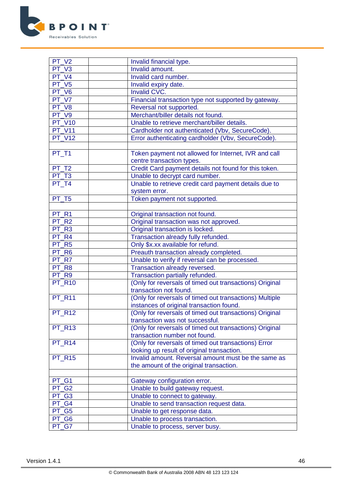

| PT V2               | Invalid financial type.                                 |
|---------------------|---------------------------------------------------------|
| PT V3               | Invalid amount.                                         |
| PT V4               | Invalid card number.                                    |
| PT_V5               | Invalid expiry date.                                    |
| PT V6               | Invalid CVC.                                            |
| PT V7               | Financial transaction type not supported by gateway.    |
| PT V8               | Reversal not supported.                                 |
| $PT_V9$             | Merchant/biller details not found.                      |
| <b>PT V10</b>       | Unable to retrieve merchant/biller details.             |
| <b>PT V11</b>       | Cardholder not authenticated (Vbv, SecureCode).         |
| <b>PT V12</b>       | Error authenticating cardholder (Vbv, SecureCode).      |
|                     |                                                         |
| PT_T1               | Token payment not allowed for Internet, IVR and call    |
|                     | centre transaction types.                               |
| PT T2               | Credit Card payment details not found for this token.   |
| PT T3               | Unable to decrypt card number.                          |
| PT T4               | Unable to retrieve credit card payment details due to   |
|                     | system error.                                           |
| PT T5               | Token payment not supported.                            |
|                     |                                                         |
| PT <sub>R1</sub>    | Original transaction not found.                         |
| PT <sub>R2</sub>    | Original transaction was not approved.                  |
| PT <sub>R3</sub>    | Original transaction is locked.                         |
| PT <sub>R4</sub>    | Transaction already fully refunded.                     |
| PT <sub>R5</sub>    | Only \$x.xx available for refund.                       |
| PT R6               | Preauth transaction already completed.                  |
| PT R7               | Unable to verify if reversal can be processed.          |
| PT R8               | Transaction already reversed.                           |
| PT <sub>R9</sub>    | Transaction partially refunded.                         |
| <b>PT_R10</b>       | (Only for reversals of timed out transactions) Original |
|                     | transaction not found.                                  |
| <b>PT R11</b>       | (Only for reversals of timed out transactions) Multiple |
|                     | instances of original transaction found.                |
| <b>PT R12</b>       | (Only for reversals of timed out transactions) Original |
|                     | transaction was not successful.                         |
| $PT_R13$            | (Only for reversals of timed out transactions) Original |
|                     | transaction number not found.                           |
| $PT_R14$            | (Only for reversals of timed out transactions) Error    |
|                     | looking up result of original transaction.              |
| <b>PT_R15</b>       | Invalid amount. Reversal amount must be the same as     |
|                     | the amount of the original transaction.                 |
|                     |                                                         |
| PT_G1               | Gateway configuration error.                            |
| PT_G2               | Unable to build gateway request.                        |
| PT_G3               | Unable to connect to gateway.                           |
| PT G4               | Unable to send transaction request data.                |
| PT G5               | Unable to get response data.                            |
| $\overline{PT\_G6}$ | Unable to process transaction.                          |
| PT G7               | Unable to process, server busy.                         |